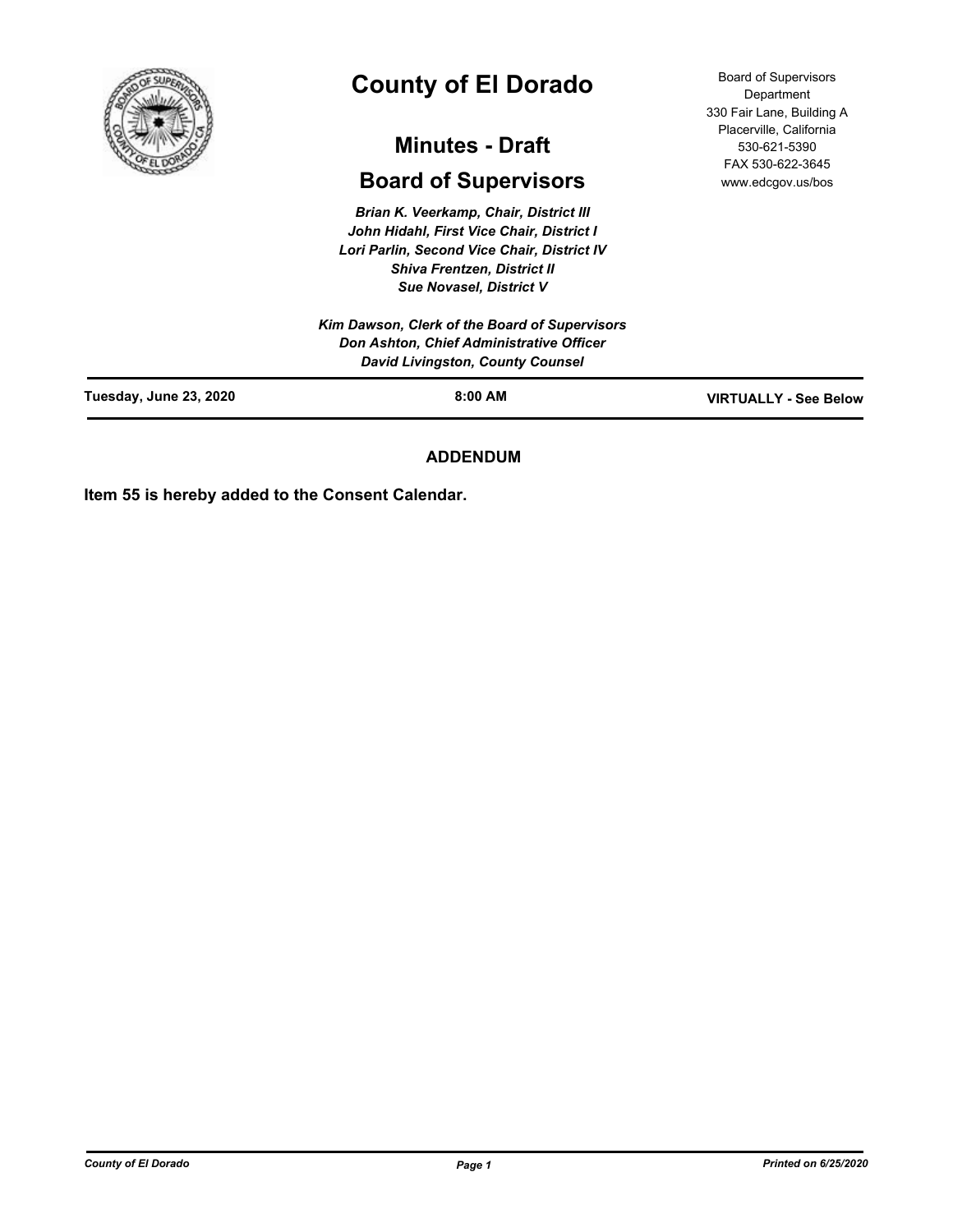

# **County of El Dorado**

## **Minutes - Draft**

## **Board of Supervisors**

*Brian K. Veerkamp, Chair, District III John Hidahl, First Vice Chair, District I Lori Parlin, Second Vice Chair, District IV Shiva Frentzen, District II Sue Novasel, District V*

Board of Supervisors Department 330 Fair Lane, Building A Placerville, California 530-621-5390 FAX 530-622-3645 www.edcgov.us/bos

| Tuesday, June 23, 2020 | $8:00$ AM                                                                           | <b>VIRTUALLY - See Below</b> |
|------------------------|-------------------------------------------------------------------------------------|------------------------------|
|                        | Don Ashton, Chief Administrative Officer<br><b>David Livingston, County Counsel</b> |                              |
|                        | Kim Dawson, Clerk of the Board of Supervisors                                       |                              |

## **ADDENDUM**

**Item 55 is hereby added to the Consent Calendar.**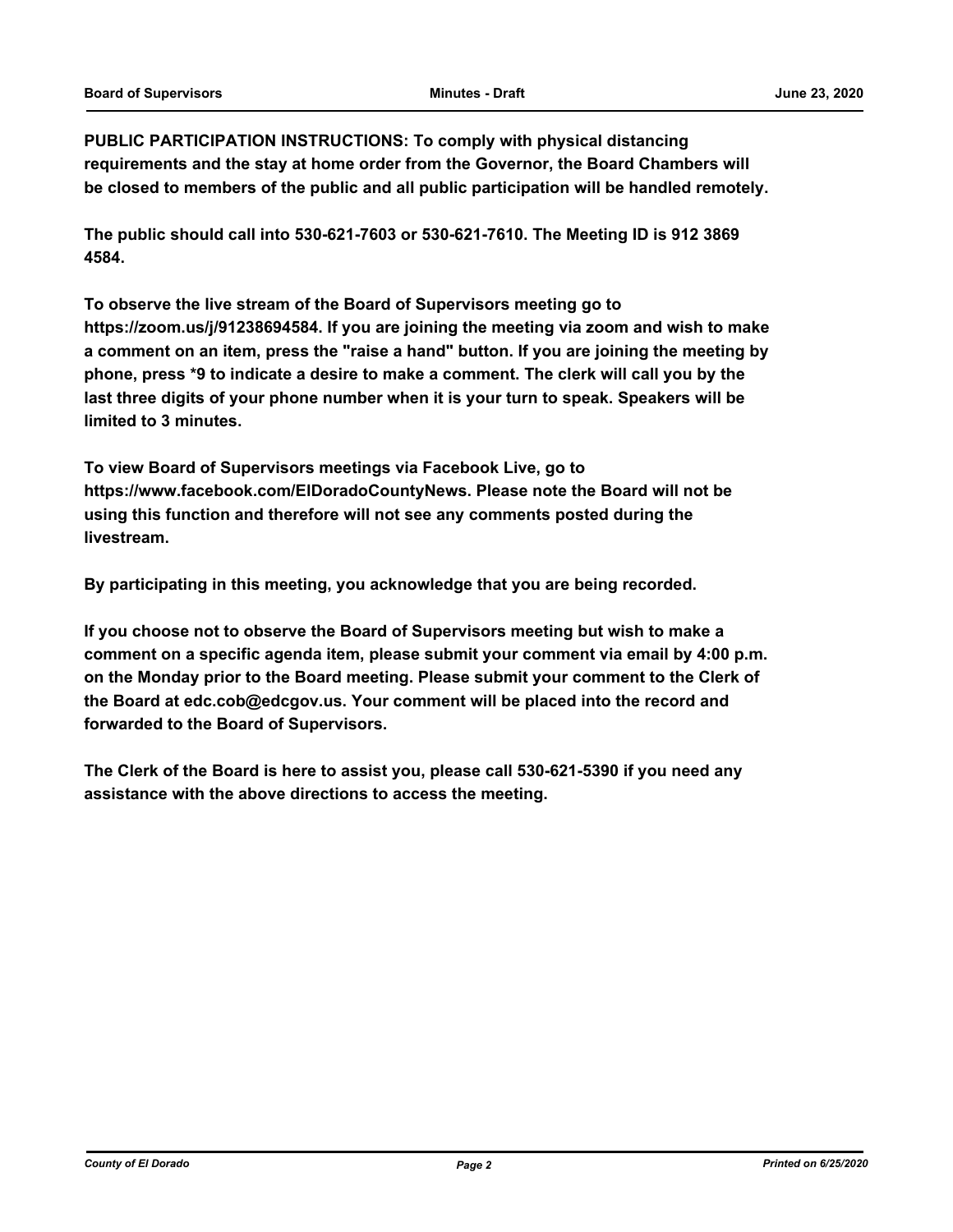**PUBLIC PARTICIPATION INSTRUCTIONS: To comply with physical distancing requirements and the stay at home order from the Governor, the Board Chambers will be closed to members of the public and all public participation will be handled remotely.** 

**The public should call into 530-621-7603 or 530-621-7610. The Meeting ID is 912 3869 4584.** 

**To observe the live stream of the Board of Supervisors meeting go to https://zoom.us/j/91238694584. If you are joining the meeting via zoom and wish to make a comment on an item, press the "raise a hand" button. If you are joining the meeting by phone, press \*9 to indicate a desire to make a comment. The clerk will call you by the last three digits of your phone number when it is your turn to speak. Speakers will be limited to 3 minutes.** 

**To view Board of Supervisors meetings via Facebook Live, go to https://www.facebook.com/ElDoradoCountyNews. Please note the Board will not be using this function and therefore will not see any comments posted during the livestream.** 

**By participating in this meeting, you acknowledge that you are being recorded.**

**If you choose not to observe the Board of Supervisors meeting but wish to make a comment on a specific agenda item, please submit your comment via email by 4:00 p.m. on the Monday prior to the Board meeting. Please submit your comment to the Clerk of the Board at edc.cob@edcgov.us. Your comment will be placed into the record and forwarded to the Board of Supervisors.** 

**The Clerk of the Board is here to assist you, please call 530-621-5390 if you need any assistance with the above directions to access the meeting.**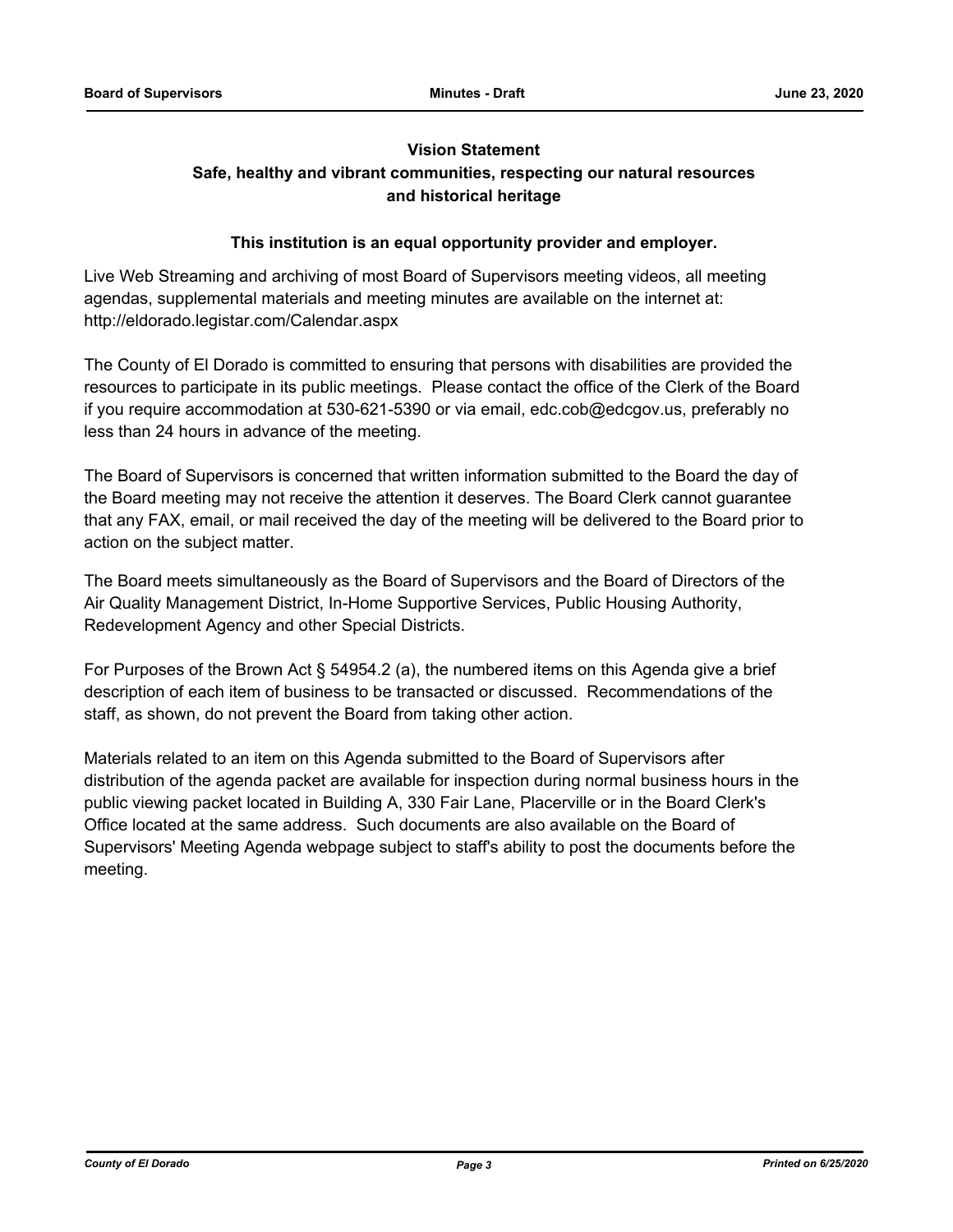## **Vision Statement Safe, healthy and vibrant communities, respecting our natural resources and historical heritage**

## **This institution is an equal opportunity provider and employer.**

Live Web Streaming and archiving of most Board of Supervisors meeting videos, all meeting agendas, supplemental materials and meeting minutes are available on the internet at: http://eldorado.legistar.com/Calendar.aspx

The County of El Dorado is committed to ensuring that persons with disabilities are provided the resources to participate in its public meetings. Please contact the office of the Clerk of the Board if you require accommodation at 530-621-5390 or via email, edc.cob@edcgov.us, preferably no less than 24 hours in advance of the meeting.

The Board of Supervisors is concerned that written information submitted to the Board the day of the Board meeting may not receive the attention it deserves. The Board Clerk cannot guarantee that any FAX, email, or mail received the day of the meeting will be delivered to the Board prior to action on the subject matter.

The Board meets simultaneously as the Board of Supervisors and the Board of Directors of the Air Quality Management District, In-Home Supportive Services, Public Housing Authority, Redevelopment Agency and other Special Districts.

For Purposes of the Brown Act § 54954.2 (a), the numbered items on this Agenda give a brief description of each item of business to be transacted or discussed. Recommendations of the staff, as shown, do not prevent the Board from taking other action.

Materials related to an item on this Agenda submitted to the Board of Supervisors after distribution of the agenda packet are available for inspection during normal business hours in the public viewing packet located in Building A, 330 Fair Lane, Placerville or in the Board Clerk's Office located at the same address. Such documents are also available on the Board of Supervisors' Meeting Agenda webpage subject to staff's ability to post the documents before the meeting.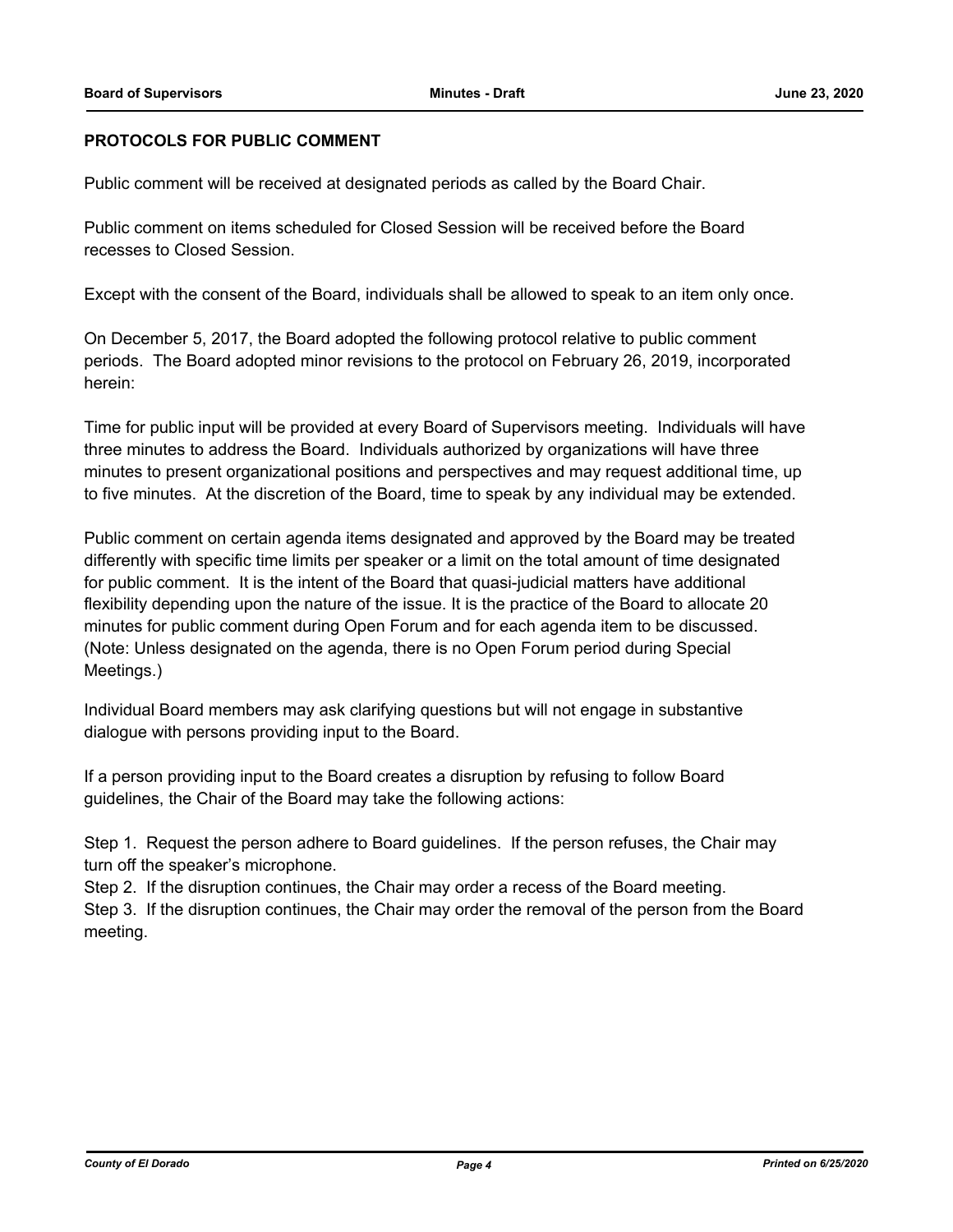## **PROTOCOLS FOR PUBLIC COMMENT**

Public comment will be received at designated periods as called by the Board Chair.

Public comment on items scheduled for Closed Session will be received before the Board recesses to Closed Session.

Except with the consent of the Board, individuals shall be allowed to speak to an item only once.

On December 5, 2017, the Board adopted the following protocol relative to public comment periods. The Board adopted minor revisions to the protocol on February 26, 2019, incorporated herein:

Time for public input will be provided at every Board of Supervisors meeting. Individuals will have three minutes to address the Board. Individuals authorized by organizations will have three minutes to present organizational positions and perspectives and may request additional time, up to five minutes. At the discretion of the Board, time to speak by any individual may be extended.

Public comment on certain agenda items designated and approved by the Board may be treated differently with specific time limits per speaker or a limit on the total amount of time designated for public comment. It is the intent of the Board that quasi-judicial matters have additional flexibility depending upon the nature of the issue. It is the practice of the Board to allocate 20 minutes for public comment during Open Forum and for each agenda item to be discussed. (Note: Unless designated on the agenda, there is no Open Forum period during Special Meetings.)

Individual Board members may ask clarifying questions but will not engage in substantive dialogue with persons providing input to the Board.

If a person providing input to the Board creates a disruption by refusing to follow Board guidelines, the Chair of the Board may take the following actions:

Step 1. Request the person adhere to Board guidelines. If the person refuses, the Chair may turn off the speaker's microphone.

Step 2. If the disruption continues, the Chair may order a recess of the Board meeting.

Step 3. If the disruption continues, the Chair may order the removal of the person from the Board meeting.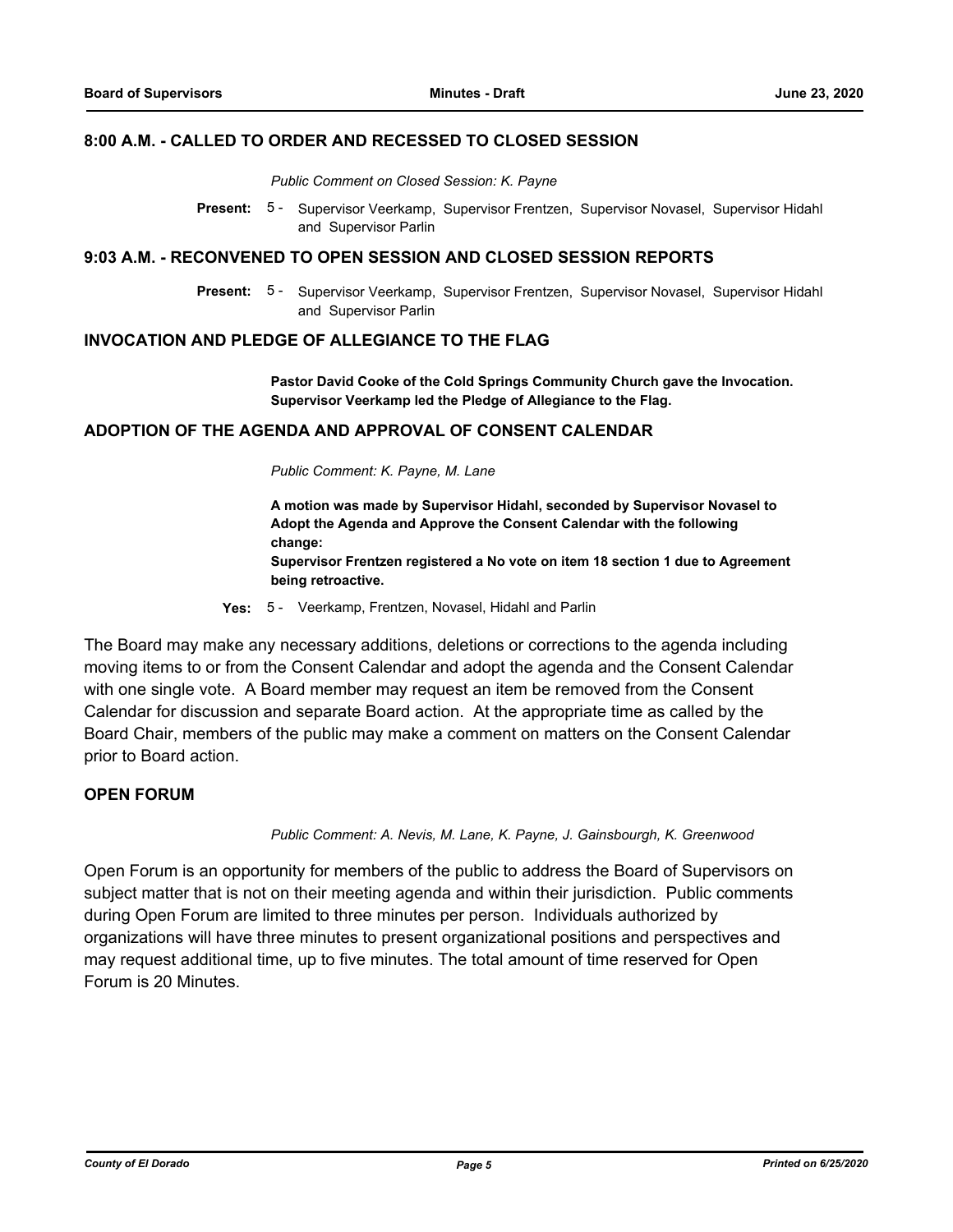#### **8:00 A.M. - CALLED TO ORDER AND RECESSED TO CLOSED SESSION**

*Public Comment on Closed Session: K. Payne*

Present: 5 - Supervisor Veerkamp, Supervisor Frentzen, Supervisor Novasel, Supervisor Hidahl and Supervisor Parlin

#### **9:03 A.M. - RECONVENED TO OPEN SESSION AND CLOSED SESSION REPORTS**

Present: 5 - Supervisor Veerkamp, Supervisor Frentzen, Supervisor Novasel, Supervisor Hidahl and Supervisor Parlin

#### **INVOCATION AND PLEDGE OF ALLEGIANCE TO THE FLAG**

**Pastor David Cooke of the Cold Springs Community Church gave the Invocation. Supervisor Veerkamp led the Pledge of Allegiance to the Flag.**

### **ADOPTION OF THE AGENDA AND APPROVAL OF CONSENT CALENDAR**

*Public Comment: K. Payne, M. Lane*

**A motion was made by Supervisor Hidahl, seconded by Supervisor Novasel to Adopt the Agenda and Approve the Consent Calendar with the following change:**

**Supervisor Frentzen registered a No vote on item 18 section 1 due to Agreement being retroactive.**

**Yes:** 5 - Veerkamp, Frentzen, Novasel, Hidahl and Parlin

The Board may make any necessary additions, deletions or corrections to the agenda including moving items to or from the Consent Calendar and adopt the agenda and the Consent Calendar with one single vote. A Board member may request an item be removed from the Consent Calendar for discussion and separate Board action. At the appropriate time as called by the Board Chair, members of the public may make a comment on matters on the Consent Calendar prior to Board action.

## **OPEN FORUM**

*Public Comment: A. Nevis, M. Lane, K. Payne, J. Gainsbourgh, K. Greenwood*

Open Forum is an opportunity for members of the public to address the Board of Supervisors on subject matter that is not on their meeting agenda and within their jurisdiction. Public comments during Open Forum are limited to three minutes per person. Individuals authorized by organizations will have three minutes to present organizational positions and perspectives and may request additional time, up to five minutes. The total amount of time reserved for Open Forum is 20 Minutes.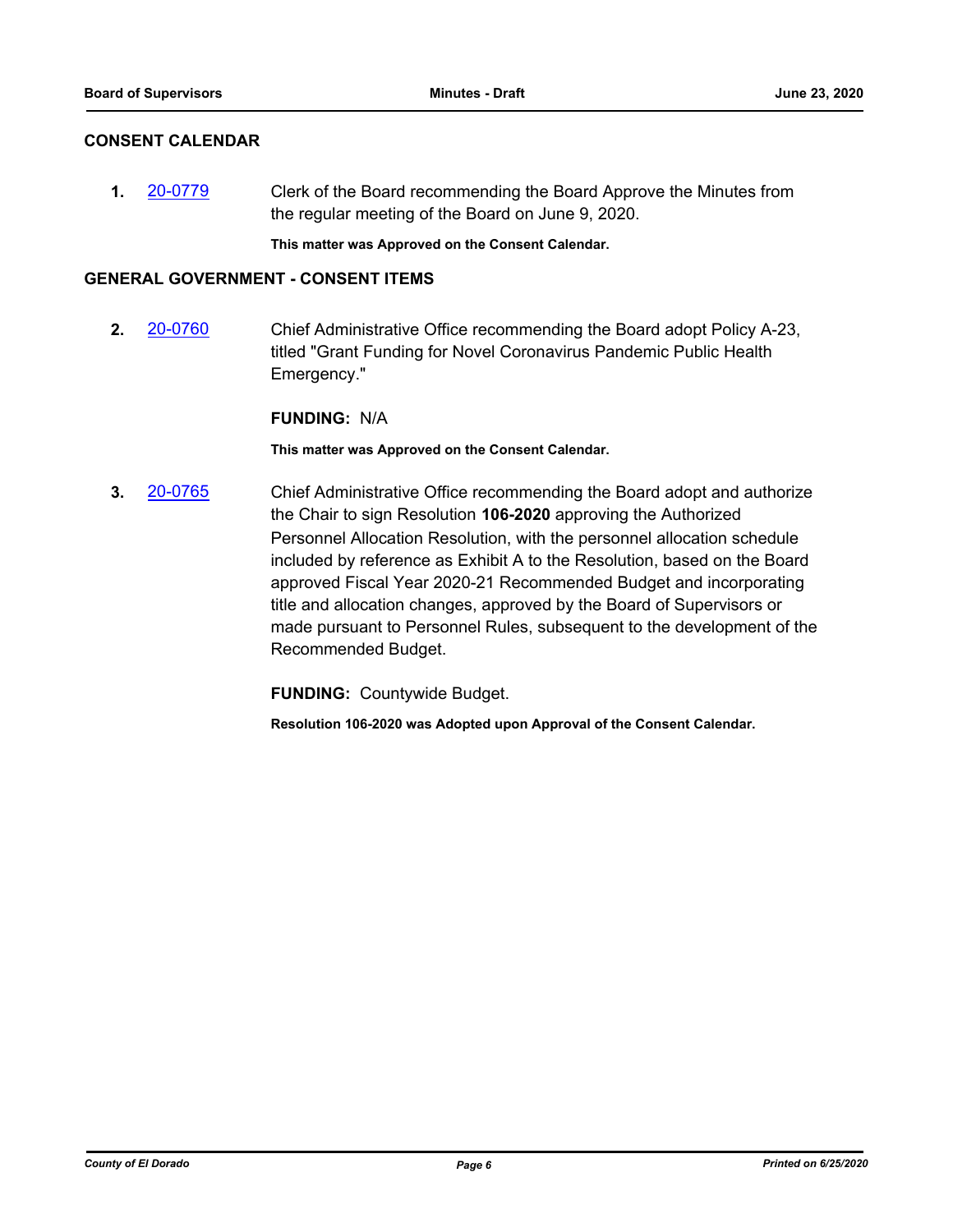## **CONSENT CALENDAR**

**1.** [20-0779](http://eldorado.legistar.com/gateway.aspx?m=l&id=/matter.aspx?key=27986) Clerk of the Board recommending the Board Approve the Minutes from the regular meeting of the Board on June 9, 2020.

**This matter was Approved on the Consent Calendar.**

### **GENERAL GOVERNMENT - CONSENT ITEMS**

**2.** [20-0760](http://eldorado.legistar.com/gateway.aspx?m=l&id=/matter.aspx?key=27967) Chief Administrative Office recommending the Board adopt Policy A-23, titled "Grant Funding for Novel Coronavirus Pandemic Public Health Emergency."

## **FUNDING:** N/A

**This matter was Approved on the Consent Calendar.**

**3.** [20-0765](http://eldorado.legistar.com/gateway.aspx?m=l&id=/matter.aspx?key=27972) Chief Administrative Office recommending the Board adopt and authorize the Chair to sign Resolution **106-2020** approving the Authorized Personnel Allocation Resolution, with the personnel allocation schedule included by reference as Exhibit A to the Resolution, based on the Board approved Fiscal Year 2020-21 Recommended Budget and incorporating title and allocation changes, approved by the Board of Supervisors or made pursuant to Personnel Rules, subsequent to the development of the Recommended Budget.

**FUNDING:** Countywide Budget.

**Resolution 106-2020 was Adopted upon Approval of the Consent Calendar.**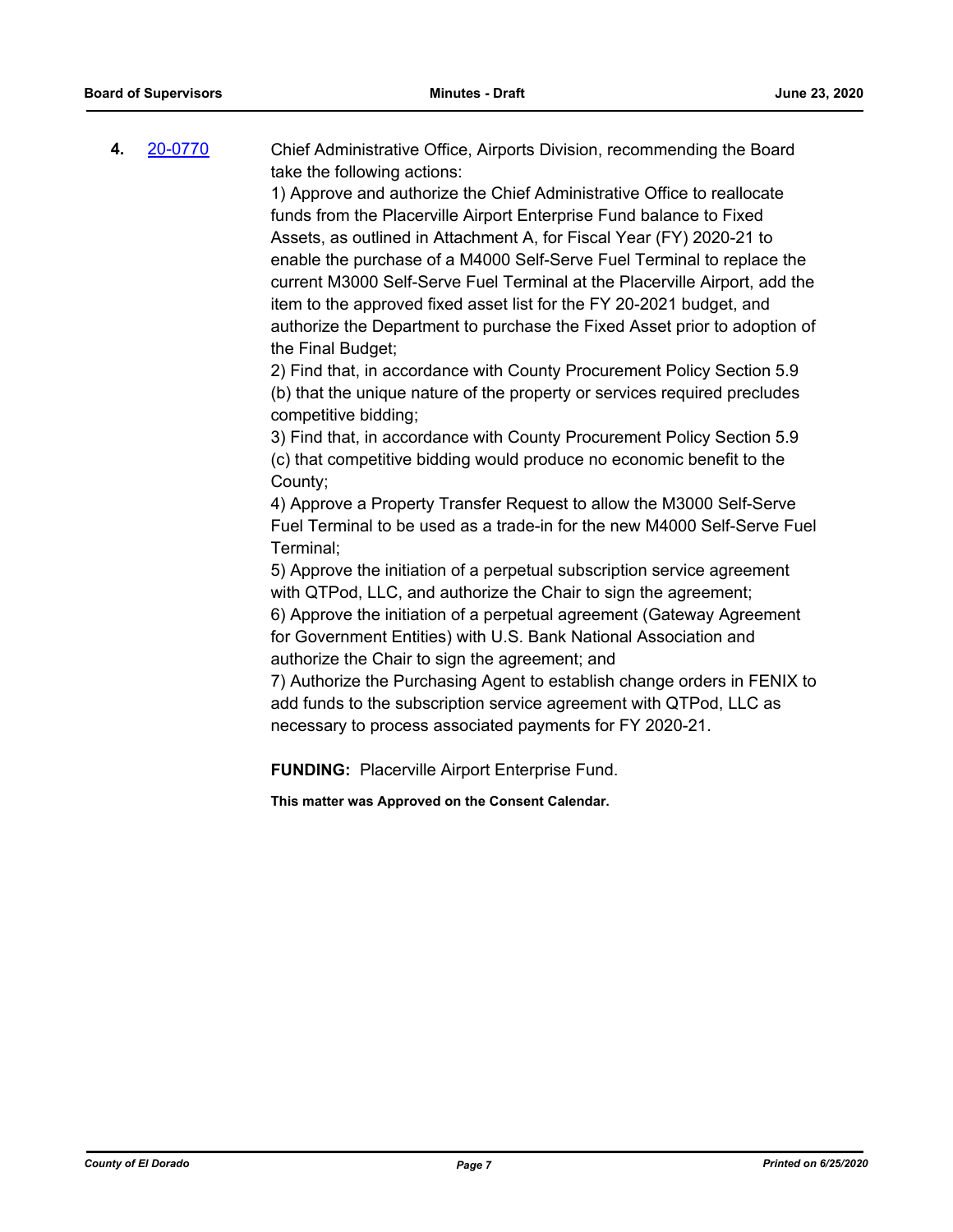**4.** [20-0770](http://eldorado.legistar.com/gateway.aspx?m=l&id=/matter.aspx?key=27977) Chief Administrative Office, Airports Division, recommending the Board take the following actions:

1) Approve and authorize the Chief Administrative Office to reallocate funds from the Placerville Airport Enterprise Fund balance to Fixed Assets, as outlined in Attachment A, for Fiscal Year (FY) 2020-21 to enable the purchase of a M4000 Self-Serve Fuel Terminal to replace the current M3000 Self-Serve Fuel Terminal at the Placerville Airport, add the item to the approved fixed asset list for the FY 20-2021 budget, and authorize the Department to purchase the Fixed Asset prior to adoption of the Final Budget;

2) Find that, in accordance with County Procurement Policy Section 5.9 (b) that the unique nature of the property or services required precludes competitive bidding;

3) Find that, in accordance with County Procurement Policy Section 5.9 (c) that competitive bidding would produce no economic benefit to the County;

4) Approve a Property Transfer Request to allow the M3000 Self-Serve Fuel Terminal to be used as a trade-in for the new M4000 Self-Serve Fuel Terminal;

5) Approve the initiation of a perpetual subscription service agreement with QTPod, LLC, and authorize the Chair to sign the agreement;

6) Approve the initiation of a perpetual agreement (Gateway Agreement for Government Entities) with U.S. Bank National Association and authorize the Chair to sign the agreement; and

7) Authorize the Purchasing Agent to establish change orders in FENIX to add funds to the subscription service agreement with QTPod, LLC as necessary to process associated payments for FY 2020-21.

**FUNDING:** Placerville Airport Enterprise Fund.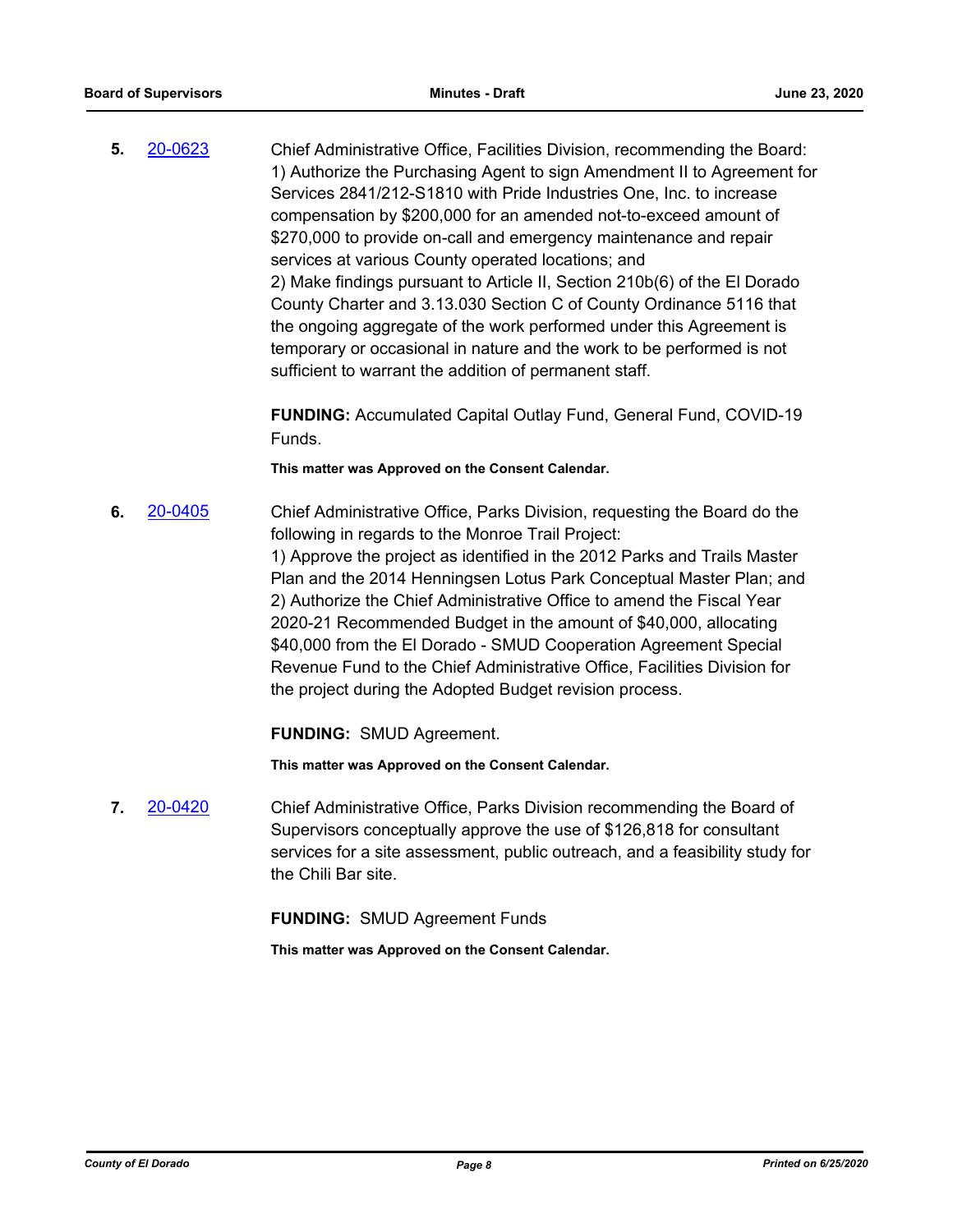**5.** [20-0623](http://eldorado.legistar.com/gateway.aspx?m=l&id=/matter.aspx?key=27829) Chief Administrative Office, Facilities Division, recommending the Board: 1) Authorize the Purchasing Agent to sign Amendment II to Agreement for Services 2841/212-S1810 with Pride Industries One, Inc. to increase compensation by \$200,000 for an amended not-to-exceed amount of \$270,000 to provide on-call and emergency maintenance and repair services at various County operated locations; and 2) Make findings pursuant to Article II, Section 210b(6) of the El Dorado County Charter and 3.13.030 Section C of County Ordinance 5116 that the ongoing aggregate of the work performed under this Agreement is temporary or occasional in nature and the work to be performed is not sufficient to warrant the addition of permanent staff.

> **FUNDING:** Accumulated Capital Outlay Fund, General Fund, COVID-19 Funds.

**This matter was Approved on the Consent Calendar.**

**6.** [20-0405](http://eldorado.legistar.com/gateway.aspx?m=l&id=/matter.aspx?key=27610) Chief Administrative Office, Parks Division, requesting the Board do the following in regards to the Monroe Trail Project: 1) Approve the project as identified in the 2012 Parks and Trails Master Plan and the 2014 Henningsen Lotus Park Conceptual Master Plan; and 2) Authorize the Chief Administrative Office to amend the Fiscal Year 2020-21 Recommended Budget in the amount of \$40,000, allocating \$40,000 from the El Dorado - SMUD Cooperation Agreement Special Revenue Fund to the Chief Administrative Office, Facilities Division for the project during the Adopted Budget revision process.

**FUNDING:** SMUD Agreement.

**This matter was Approved on the Consent Calendar.**

**7.** [20-0420](http://eldorado.legistar.com/gateway.aspx?m=l&id=/matter.aspx?key=27626) Chief Administrative Office, Parks Division recommending the Board of Supervisors conceptually approve the use of \$126,818 for consultant services for a site assessment, public outreach, and a feasibility study for the Chili Bar site.

**FUNDING:** SMUD Agreement Funds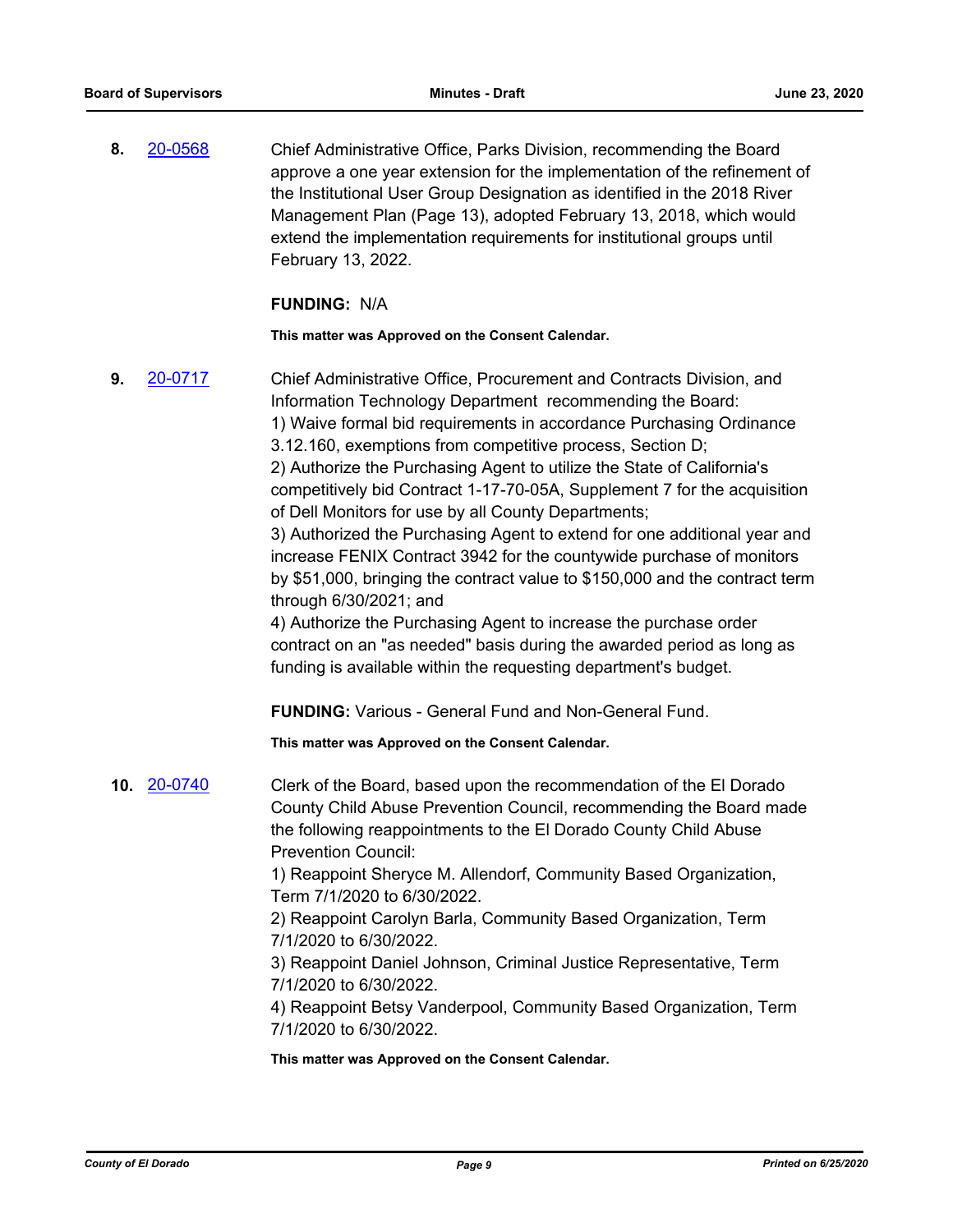**8.** [20-0568](http://eldorado.legistar.com/gateway.aspx?m=l&id=/matter.aspx?key=27774) Chief Administrative Office, Parks Division, recommending the Board approve a one year extension for the implementation of the refinement of the Institutional User Group Designation as identified in the 2018 River Management Plan (Page 13), adopted February 13, 2018, which would extend the implementation requirements for institutional groups until February 13, 2022.

### **FUNDING:** N/A

**This matter was Approved on the Consent Calendar.**

**9.** [20-0717](http://eldorado.legistar.com/gateway.aspx?m=l&id=/matter.aspx?key=27923) Chief Administrative Office, Procurement and Contracts Division, and Information Technology Department recommending the Board: 1) Waive formal bid requirements in accordance Purchasing Ordinance 3.12.160, exemptions from competitive process, Section D; 2) Authorize the Purchasing Agent to utilize the State of California's competitively bid Contract 1-17-70-05A, Supplement 7 for the acquisition of Dell Monitors for use by all County Departments; 3) Authorized the Purchasing Agent to extend for one additional year and increase FENIX Contract 3942 for the countywide purchase of monitors by \$51,000, bringing the contract value to \$150,000 and the contract term through 6/30/2021; and 4) Authorize the Purchasing Agent to increase the purchase order contract on an "as needed" basis during the awarded period as long as funding is available within the requesting department's budget. **FUNDING:** Various - General Fund and Non-General Fund. **This matter was Approved on the Consent Calendar. 10.** [20-0740](http://eldorado.legistar.com/gateway.aspx?m=l&id=/matter.aspx?key=27947) Clerk of the Board, based upon the recommendation of the El Dorado County Child Abuse Prevention Council, recommending the Board made the following reappointments to the El Dorado County Child Abuse Prevention Council: 1) Reappoint Sheryce M. Allendorf, Community Based Organization, Term 7/1/2020 to 6/30/2022. 2) Reappoint Carolyn Barla, Community Based Organization, Term 7/1/2020 to 6/30/2022. 3) Reappoint Daniel Johnson, Criminal Justice Representative, Term 7/1/2020 to 6/30/2022. 4) Reappoint Betsy Vanderpool, Community Based Organization, Term 7/1/2020 to 6/30/2022.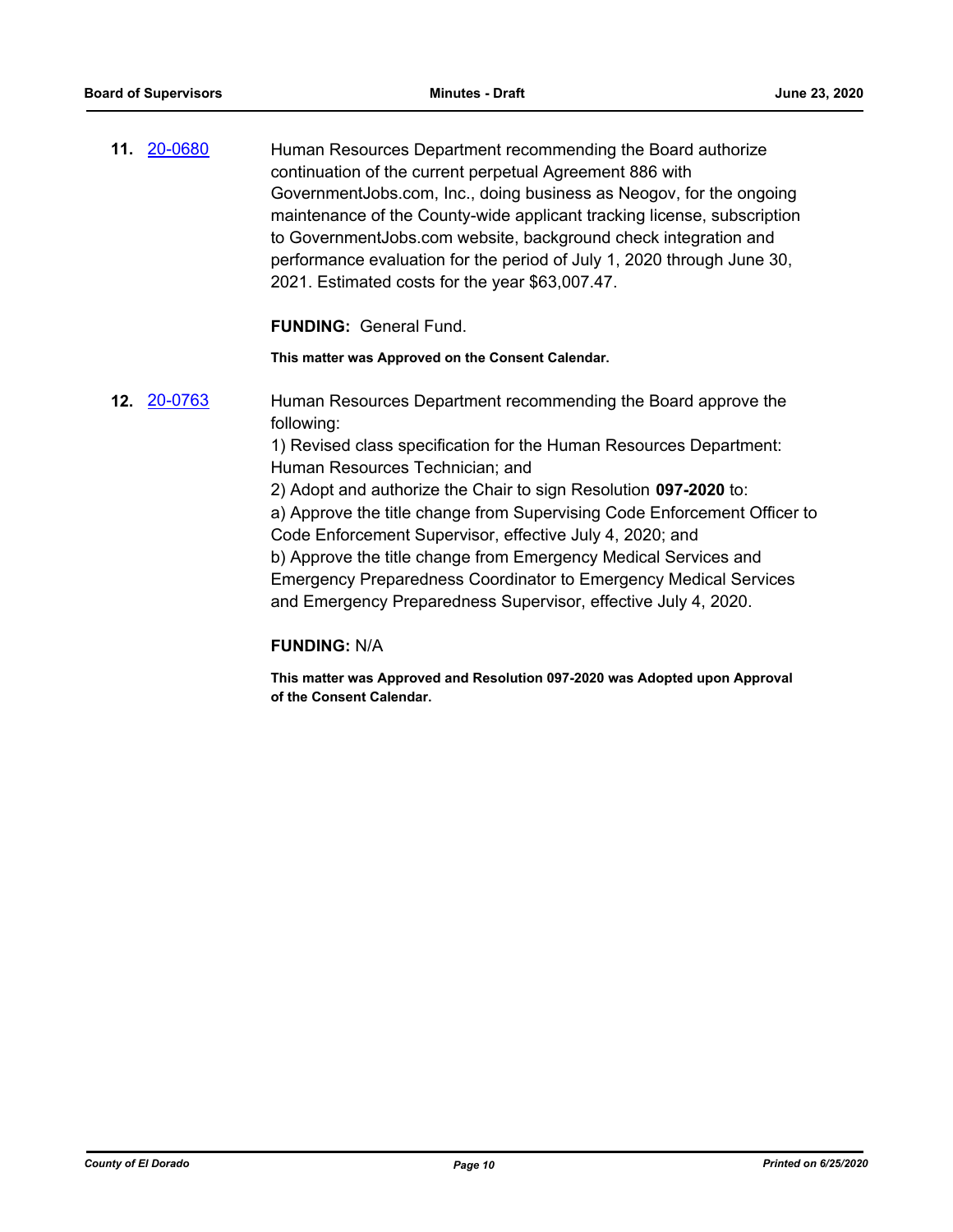**11. [20-0680](http://eldorado.legistar.com/gateway.aspx?m=l&id=/matter.aspx?key=27886)** Human Resources Department recommending the Board authorize continuation of the current perpetual Agreement 886 with GovernmentJobs.com, Inc., doing business as Neogov, for the ongoing maintenance of the County-wide applicant tracking license, subscription to GovernmentJobs.com website, background check integration and performance evaluation for the period of July 1, 2020 through June 30, 2021. Estimated costs for the year \$63,007.47.

**FUNDING:** General Fund.

**This matter was Approved on the Consent Calendar.**

**12.** [20-0763](http://eldorado.legistar.com/gateway.aspx?m=l&id=/matter.aspx?key=27970) Human Resources Department recommending the Board approve the following:

> 1) Revised class specification for the Human Resources Department: Human Resources Technician; and

2) Adopt and authorize the Chair to sign Resolution **097-2020** to:

a) Approve the title change from Supervising Code Enforcement Officer to Code Enforcement Supervisor, effective July 4, 2020; and

b) Approve the title change from Emergency Medical Services and Emergency Preparedness Coordinator to Emergency Medical Services and Emergency Preparedness Supervisor, effective July 4, 2020.

#### **FUNDING:** N/A

**This matter was Approved and Resolution 097-2020 was Adopted upon Approval of the Consent Calendar.**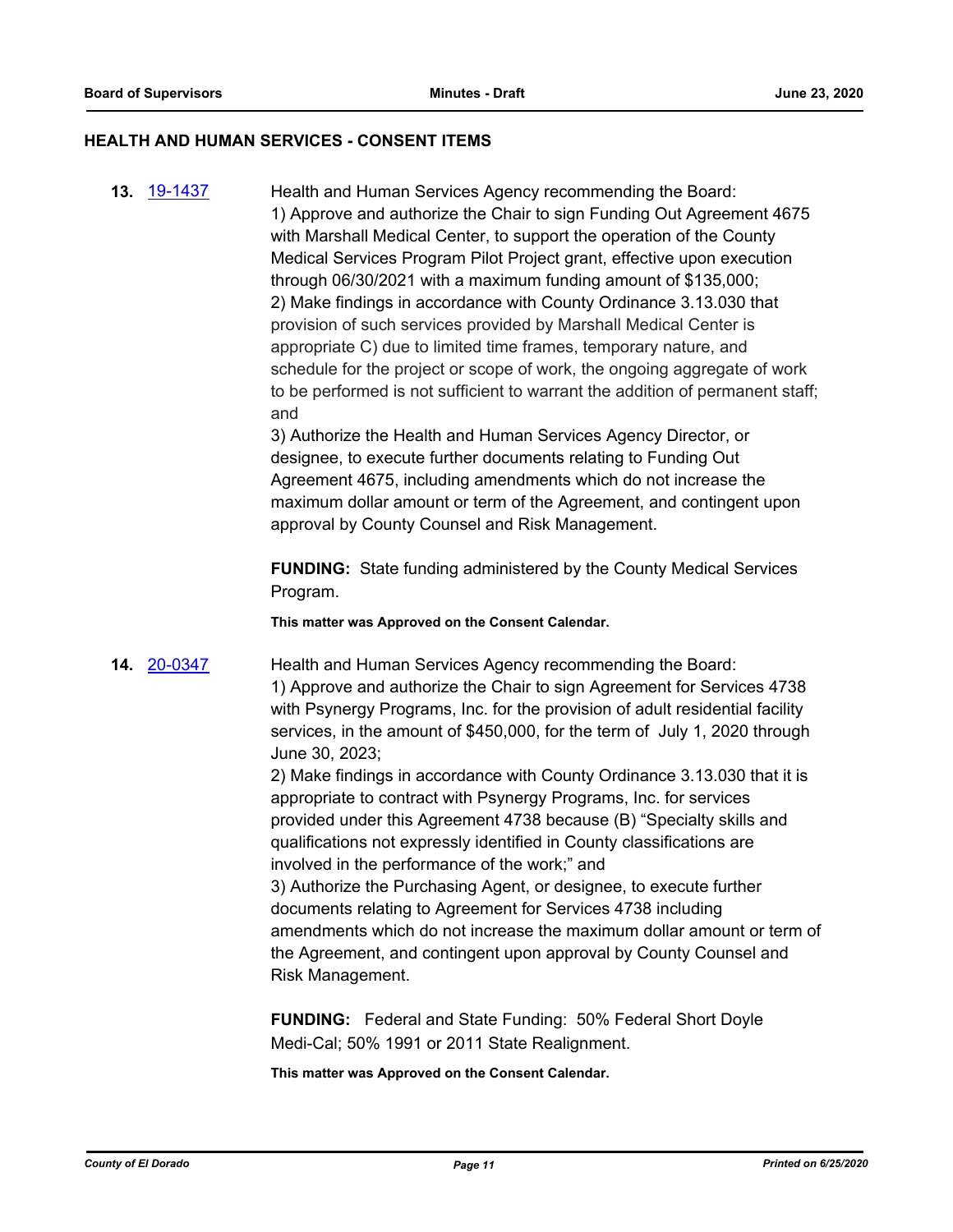#### **HEALTH AND HUMAN SERVICES - CONSENT ITEMS**

**13.** [19-1437](http://eldorado.legistar.com/gateway.aspx?m=l&id=/matter.aspx?key=26758) Health and Human Services Agency recommending the Board: 1) Approve and authorize the Chair to sign Funding Out Agreement 4675 with Marshall Medical Center, to support the operation of the County Medical Services Program Pilot Project grant, effective upon execution through 06/30/2021 with a maximum funding amount of \$135,000; 2) Make findings in accordance with County Ordinance 3.13.030 that provision of such services provided by Marshall Medical Center is appropriate C) due to limited time frames, temporary nature, and schedule for the project or scope of work, the ongoing aggregate of work to be performed is not sufficient to warrant the addition of permanent staff; and

> 3) Authorize the Health and Human Services Agency Director, or designee, to execute further documents relating to Funding Out Agreement 4675, including amendments which do not increase the maximum dollar amount or term of the Agreement, and contingent upon approval by County Counsel and Risk Management.

> **FUNDING:** State funding administered by the County Medical Services Program.

**This matter was Approved on the Consent Calendar.**

**14.** [20-0347](http://eldorado.legistar.com/gateway.aspx?m=l&id=/matter.aspx?key=27552) Health and Human Services Agency recommending the Board: 1) Approve and authorize the Chair to sign Agreement for Services 4738 with Psynergy Programs, Inc. for the provision of adult residential facility services, in the amount of \$450,000, for the term of July 1, 2020 through June 30, 2023;

> 2) Make findings in accordance with County Ordinance 3.13.030 that it is appropriate to contract with Psynergy Programs, Inc. for services provided under this Agreement 4738 because (B) "Specialty skills and qualifications not expressly identified in County classifications are involved in the performance of the work;" and

3) Authorize the Purchasing Agent, or designee, to execute further documents relating to Agreement for Services 4738 including amendments which do not increase the maximum dollar amount or term of the Agreement, and contingent upon approval by County Counsel and Risk Management.

**FUNDING:** Federal and State Funding: 50% Federal Short Doyle Medi-Cal; 50% 1991 or 2011 State Realignment.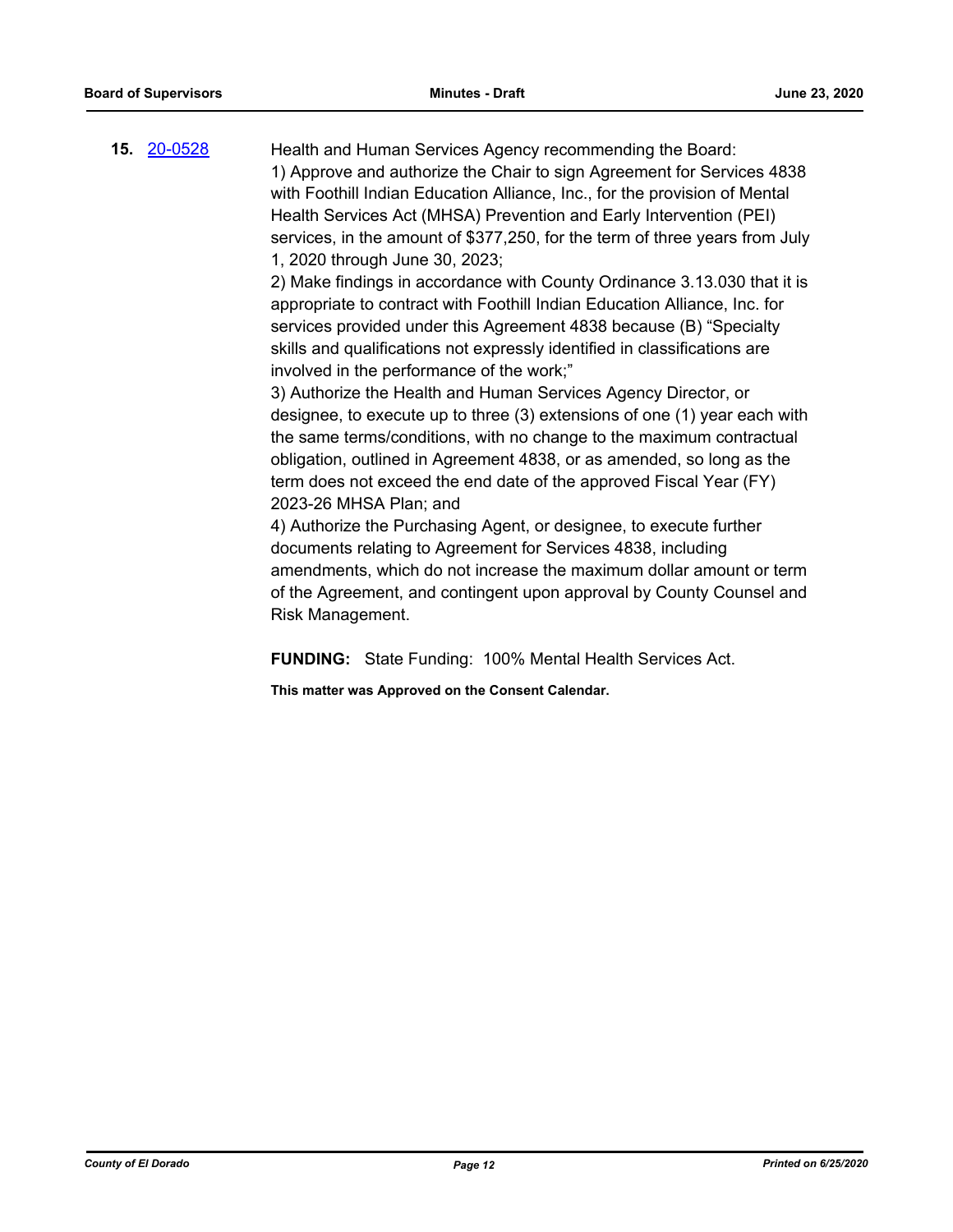**15.** [20-0528](http://eldorado.legistar.com/gateway.aspx?m=l&id=/matter.aspx?key=27734) Health and Human Services Agency recommending the Board: 1) Approve and authorize the Chair to sign Agreement for Services 4838 with Foothill Indian Education Alliance, Inc., for the provision of Mental Health Services Act (MHSA) Prevention and Early Intervention (PEI) services, in the amount of \$377,250, for the term of three years from July 1, 2020 through June 30, 2023;

2) Make findings in accordance with County Ordinance 3.13.030 that it is appropriate to contract with Foothill Indian Education Alliance, Inc. for services provided under this Agreement 4838 because (B) "Specialty skills and qualifications not expressly identified in classifications are involved in the performance of the work;"

3) Authorize the Health and Human Services Agency Director, or designee, to execute up to three (3) extensions of one (1) year each with the same terms/conditions, with no change to the maximum contractual obligation, outlined in Agreement 4838, or as amended, so long as the term does not exceed the end date of the approved Fiscal Year (FY) 2023-26 MHSA Plan; and

4) Authorize the Purchasing Agent, or designee, to execute further documents relating to Agreement for Services 4838, including amendments, which do not increase the maximum dollar amount or term of the Agreement, and contingent upon approval by County Counsel and Risk Management.

**FUNDING:** State Funding: 100% Mental Health Services Act.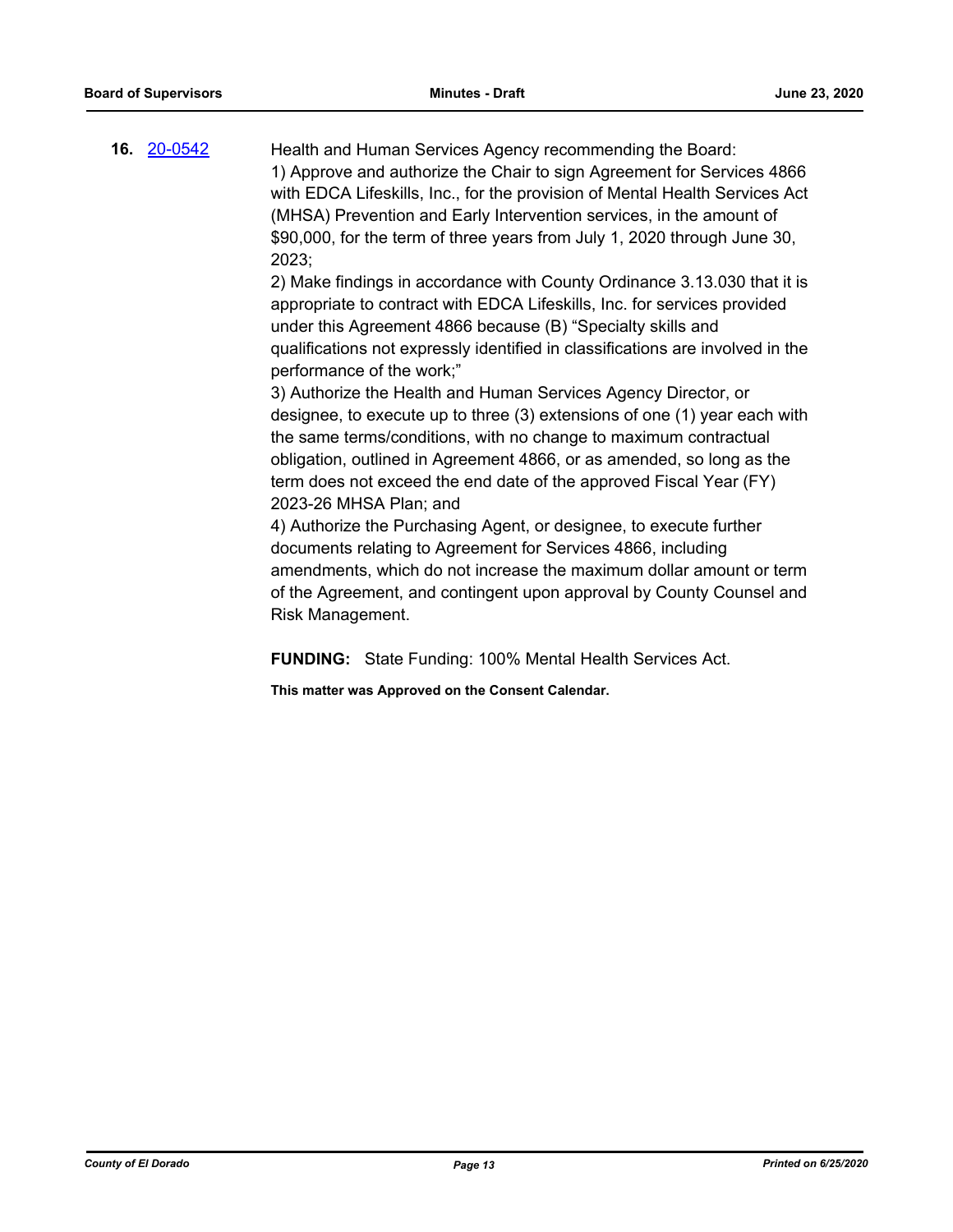**16.** [20-0542](http://eldorado.legistar.com/gateway.aspx?m=l&id=/matter.aspx?key=27748) Health and Human Services Agency recommending the Board: 1) Approve and authorize the Chair to sign Agreement for Services 4866 with EDCA Lifeskills, Inc., for the provision of Mental Health Services Act (MHSA) Prevention and Early Intervention services, in the amount of \$90,000, for the term of three years from July 1, 2020 through June 30, 2023;

> 2) Make findings in accordance with County Ordinance 3.13.030 that it is appropriate to contract with EDCA Lifeskills, Inc. for services provided under this Agreement 4866 because (B) "Specialty skills and qualifications not expressly identified in classifications are involved in the performance of the work;"

> 3) Authorize the Health and Human Services Agency Director, or designee, to execute up to three (3) extensions of one (1) year each with the same terms/conditions, with no change to maximum contractual obligation, outlined in Agreement 4866, or as amended, so long as the term does not exceed the end date of the approved Fiscal Year (FY) 2023-26 MHSA Plan; and

> 4) Authorize the Purchasing Agent, or designee, to execute further documents relating to Agreement for Services 4866, including amendments, which do not increase the maximum dollar amount or term of the Agreement, and contingent upon approval by County Counsel and Risk Management.

**FUNDING:** State Funding: 100% Mental Health Services Act.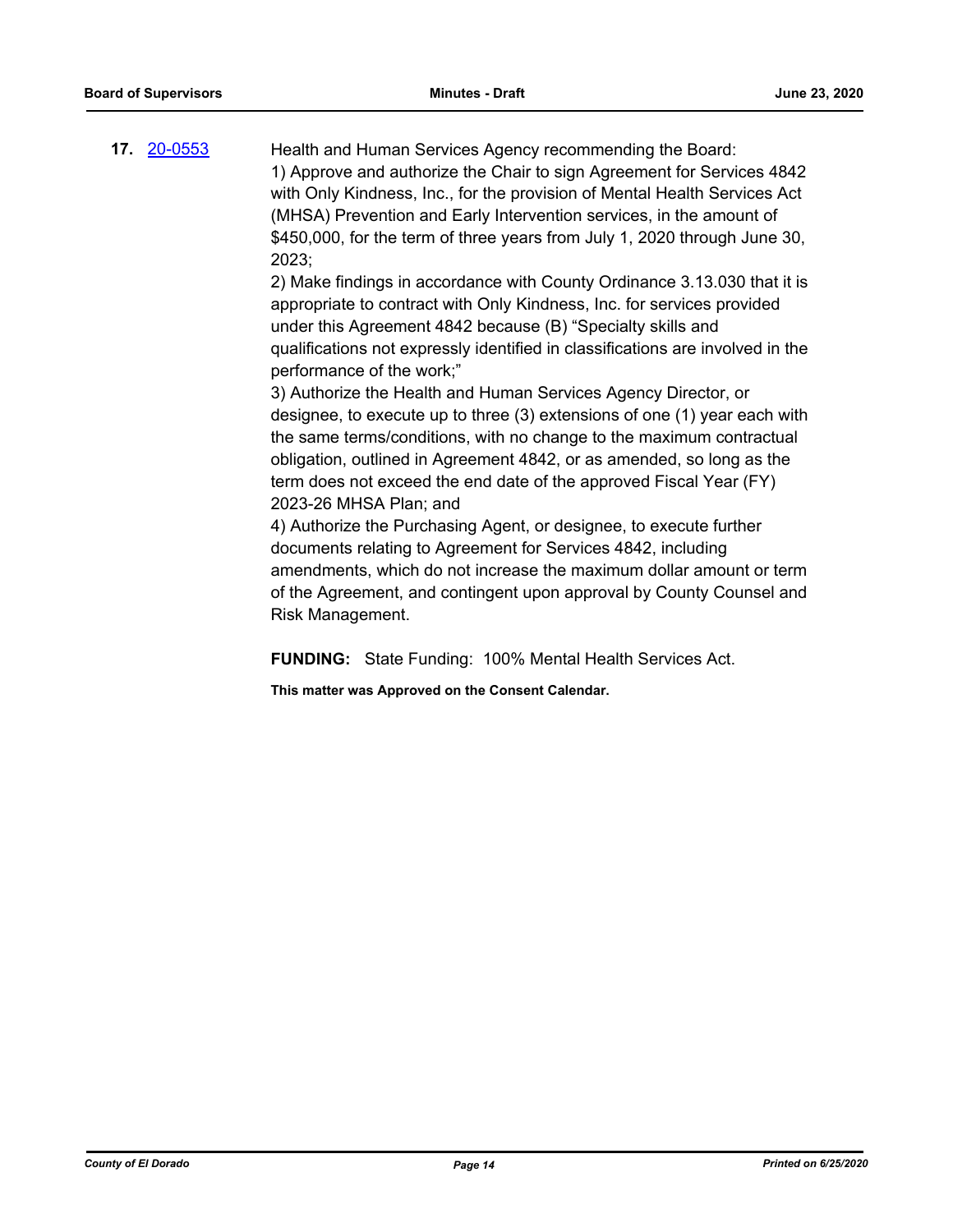**17.** [20-0553](http://eldorado.legistar.com/gateway.aspx?m=l&id=/matter.aspx?key=27759) Health and Human Services Agency recommending the Board: 1) Approve and authorize the Chair to sign Agreement for Services 4842 with Only Kindness, Inc., for the provision of Mental Health Services Act (MHSA) Prevention and Early Intervention services, in the amount of \$450,000, for the term of three years from July 1, 2020 through June 30, 2023;

> 2) Make findings in accordance with County Ordinance 3.13.030 that it is appropriate to contract with Only Kindness, Inc. for services provided under this Agreement 4842 because (B) "Specialty skills and qualifications not expressly identified in classifications are involved in the performance of the work;"

> 3) Authorize the Health and Human Services Agency Director, or designee, to execute up to three (3) extensions of one (1) year each with the same terms/conditions, with no change to the maximum contractual obligation, outlined in Agreement 4842, or as amended, so long as the term does not exceed the end date of the approved Fiscal Year (FY) 2023-26 MHSA Plan; and

> 4) Authorize the Purchasing Agent, or designee, to execute further documents relating to Agreement for Services 4842, including amendments, which do not increase the maximum dollar amount or term of the Agreement, and contingent upon approval by County Counsel and Risk Management.

**FUNDING:** State Funding: 100% Mental Health Services Act.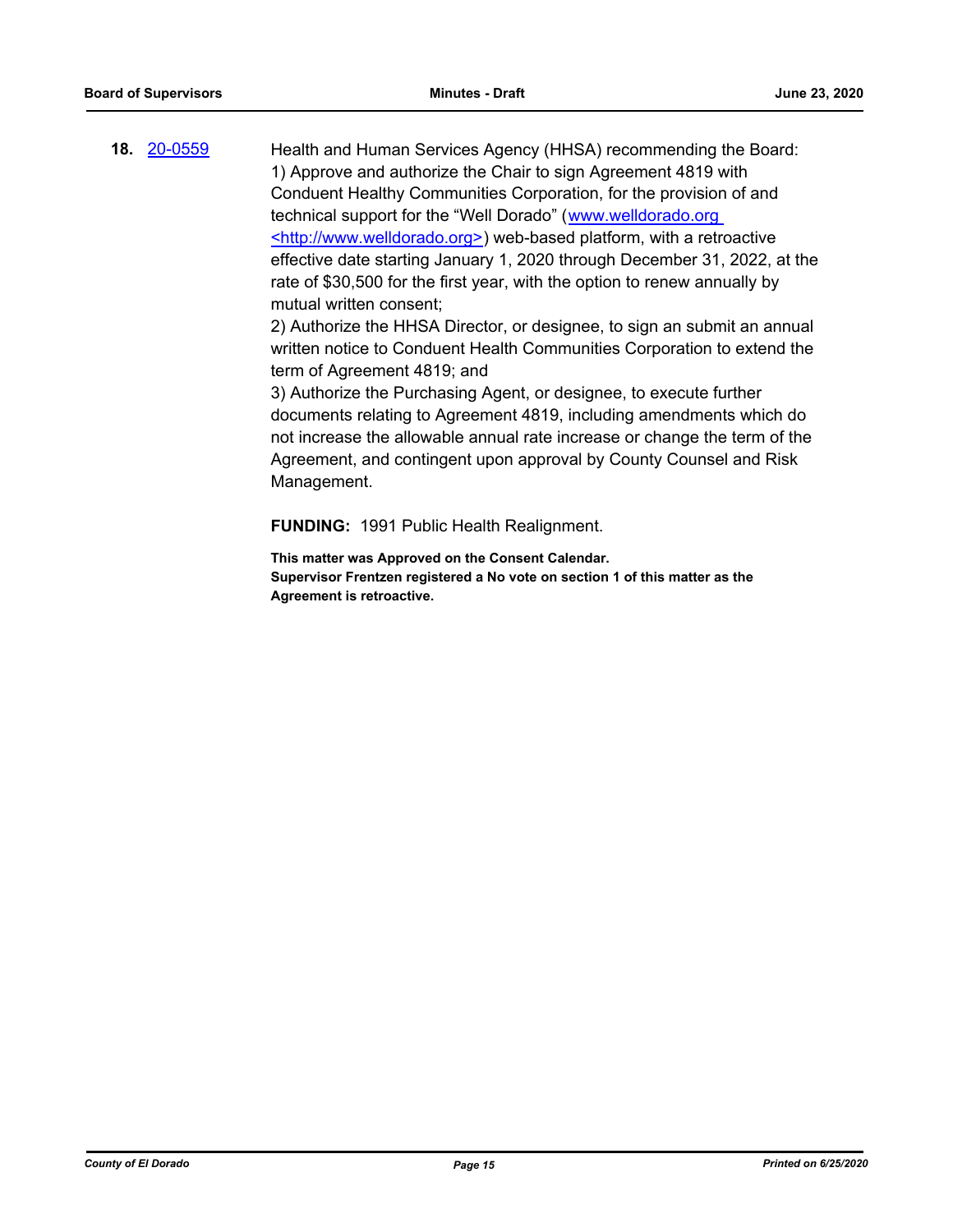**18.** [20-0559](http://eldorado.legistar.com/gateway.aspx?m=l&id=/matter.aspx?key=27765) Health and Human Services Agency (HHSA) recommending the Board: 1) Approve and authorize the Chair to sign Agreement 4819 with Conduent Healthy Communities Corporation, for the provision of and technical support for the "Well Dorado" (www.welldorado.org <http://www.welldorado.org>) web-based platform, with a retroactive effective date starting January 1, 2020 through December 31, 2022, at the rate of \$30,500 for the first year, with the option to renew annually by mutual written consent; 2) Authorize the HHSA Director, or designee, to sign an submit an annual

written notice to Conduent Health Communities Corporation to extend the term of Agreement 4819; and

3) Authorize the Purchasing Agent, or designee, to execute further documents relating to Agreement 4819, including amendments which do not increase the allowable annual rate increase or change the term of the Agreement, and contingent upon approval by County Counsel and Risk Management.

**FUNDING:** 1991 Public Health Realignment.

**This matter was Approved on the Consent Calendar. Supervisor Frentzen registered a No vote on section 1 of this matter as the Agreement is retroactive.**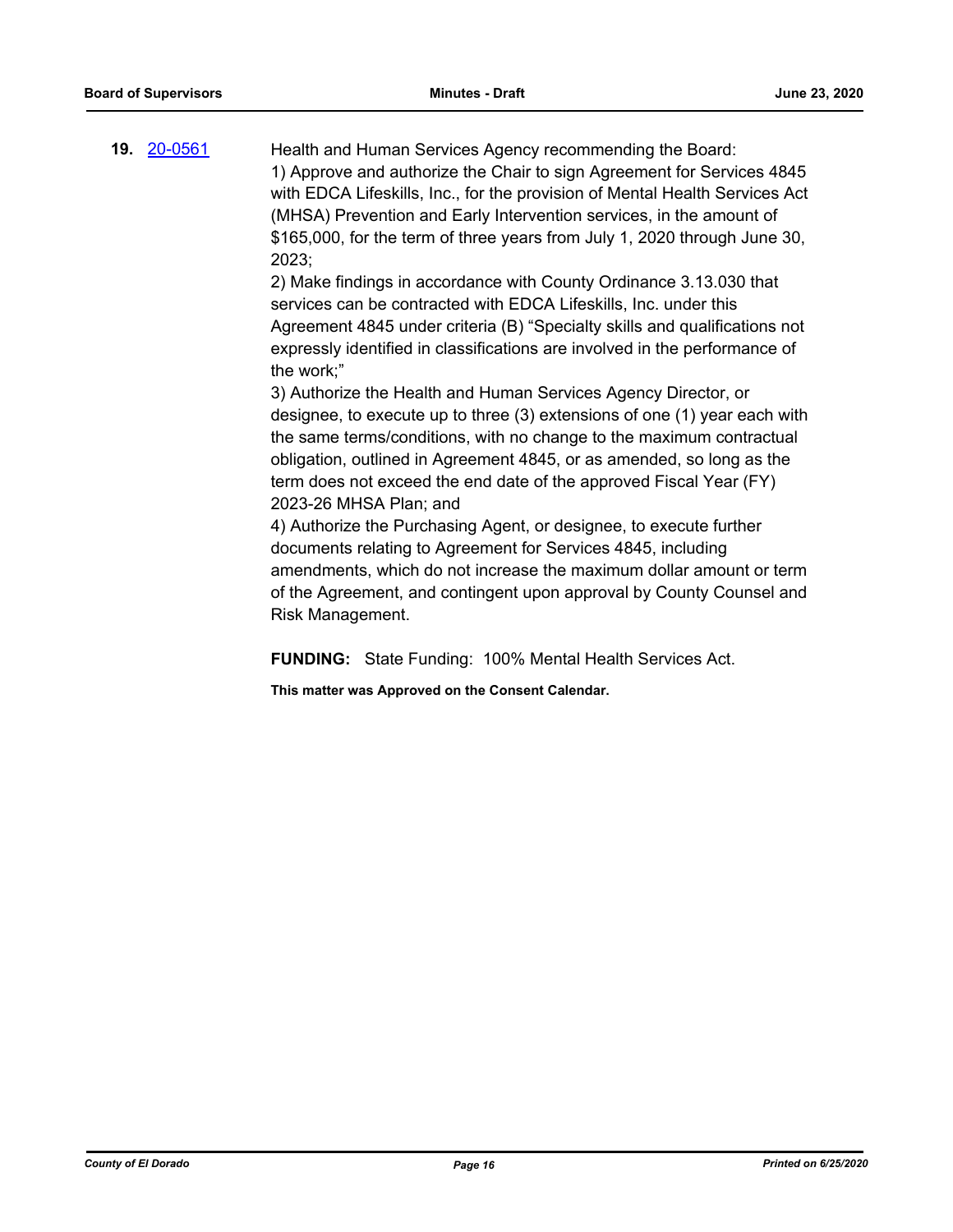**19.** [20-0561](http://eldorado.legistar.com/gateway.aspx?m=l&id=/matter.aspx?key=27767) Health and Human Services Agency recommending the Board: 1) Approve and authorize the Chair to sign Agreement for Services 4845 with EDCA Lifeskills, Inc., for the provision of Mental Health Services Act (MHSA) Prevention and Early Intervention services, in the amount of \$165,000, for the term of three years from July 1, 2020 through June 30, 2023;

> 2) Make findings in accordance with County Ordinance 3.13.030 that services can be contracted with EDCA Lifeskills, Inc. under this Agreement 4845 under criteria (B) "Specialty skills and qualifications not expressly identified in classifications are involved in the performance of the work;"

> 3) Authorize the Health and Human Services Agency Director, or designee, to execute up to three (3) extensions of one (1) year each with the same terms/conditions, with no change to the maximum contractual obligation, outlined in Agreement 4845, or as amended, so long as the term does not exceed the end date of the approved Fiscal Year (FY) 2023-26 MHSA Plan; and

> 4) Authorize the Purchasing Agent, or designee, to execute further documents relating to Agreement for Services 4845, including amendments, which do not increase the maximum dollar amount or term of the Agreement, and contingent upon approval by County Counsel and Risk Management.

**FUNDING:** State Funding: 100% Mental Health Services Act.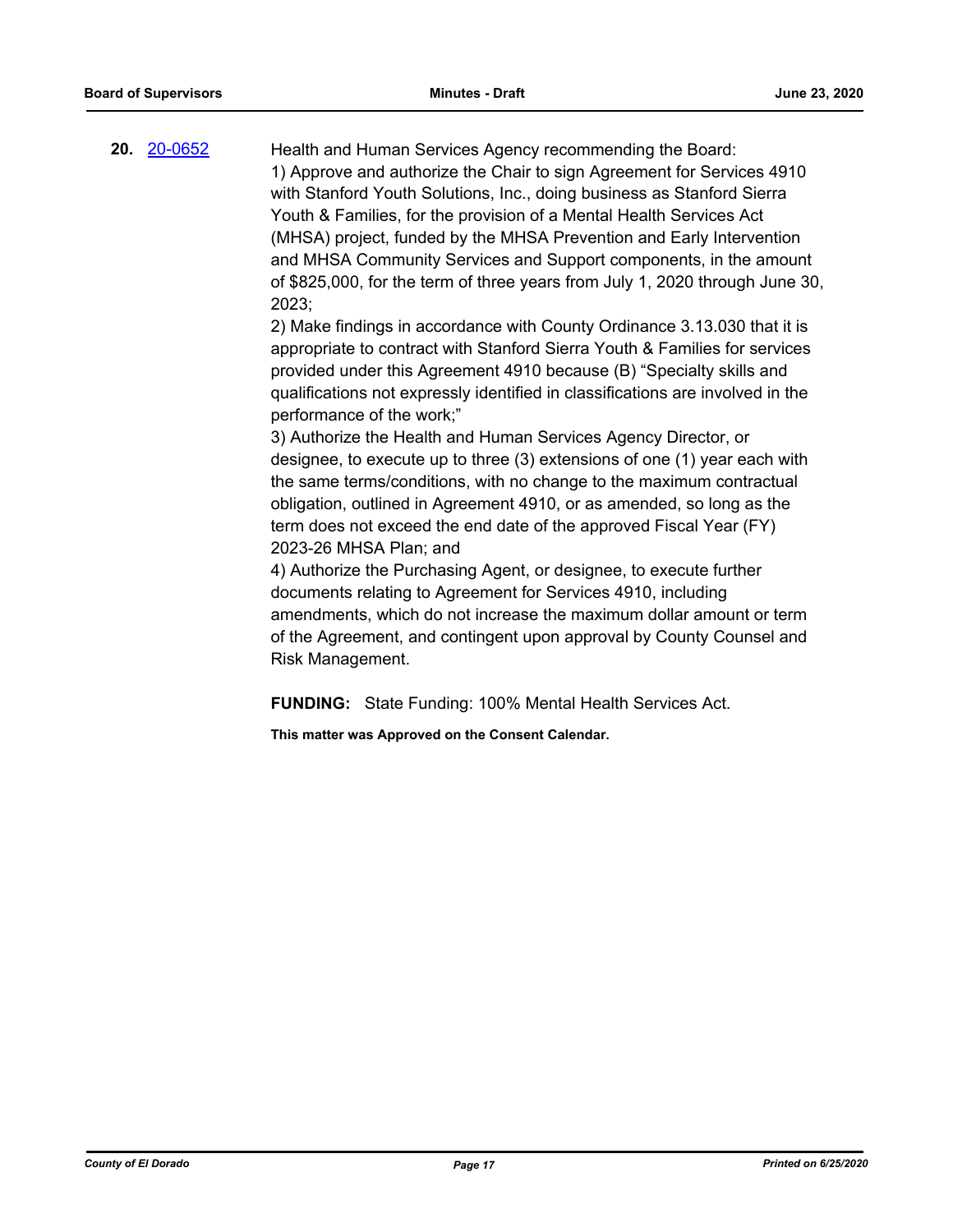**20.** [20-0652](http://eldorado.legistar.com/gateway.aspx?m=l&id=/matter.aspx?key=27858) Health and Human Services Agency recommending the Board: 1) Approve and authorize the Chair to sign Agreement for Services 4910 with Stanford Youth Solutions, Inc., doing business as Stanford Sierra Youth & Families, for the provision of a Mental Health Services Act (MHSA) project, funded by the MHSA Prevention and Early Intervention and MHSA Community Services and Support components, in the amount of \$825,000, for the term of three years from July 1, 2020 through June 30, 2023;

> 2) Make findings in accordance with County Ordinance 3.13.030 that it is appropriate to contract with Stanford Sierra Youth & Families for services provided under this Agreement 4910 because (B) "Specialty skills and qualifications not expressly identified in classifications are involved in the performance of the work;"

> 3) Authorize the Health and Human Services Agency Director, or designee, to execute up to three (3) extensions of one (1) year each with the same terms/conditions, with no change to the maximum contractual obligation, outlined in Agreement 4910, or as amended, so long as the term does not exceed the end date of the approved Fiscal Year (FY) 2023-26 MHSA Plan; and

> 4) Authorize the Purchasing Agent, or designee, to execute further documents relating to Agreement for Services 4910, including amendments, which do not increase the maximum dollar amount or term of the Agreement, and contingent upon approval by County Counsel and Risk Management.

**FUNDING:** State Funding: 100% Mental Health Services Act.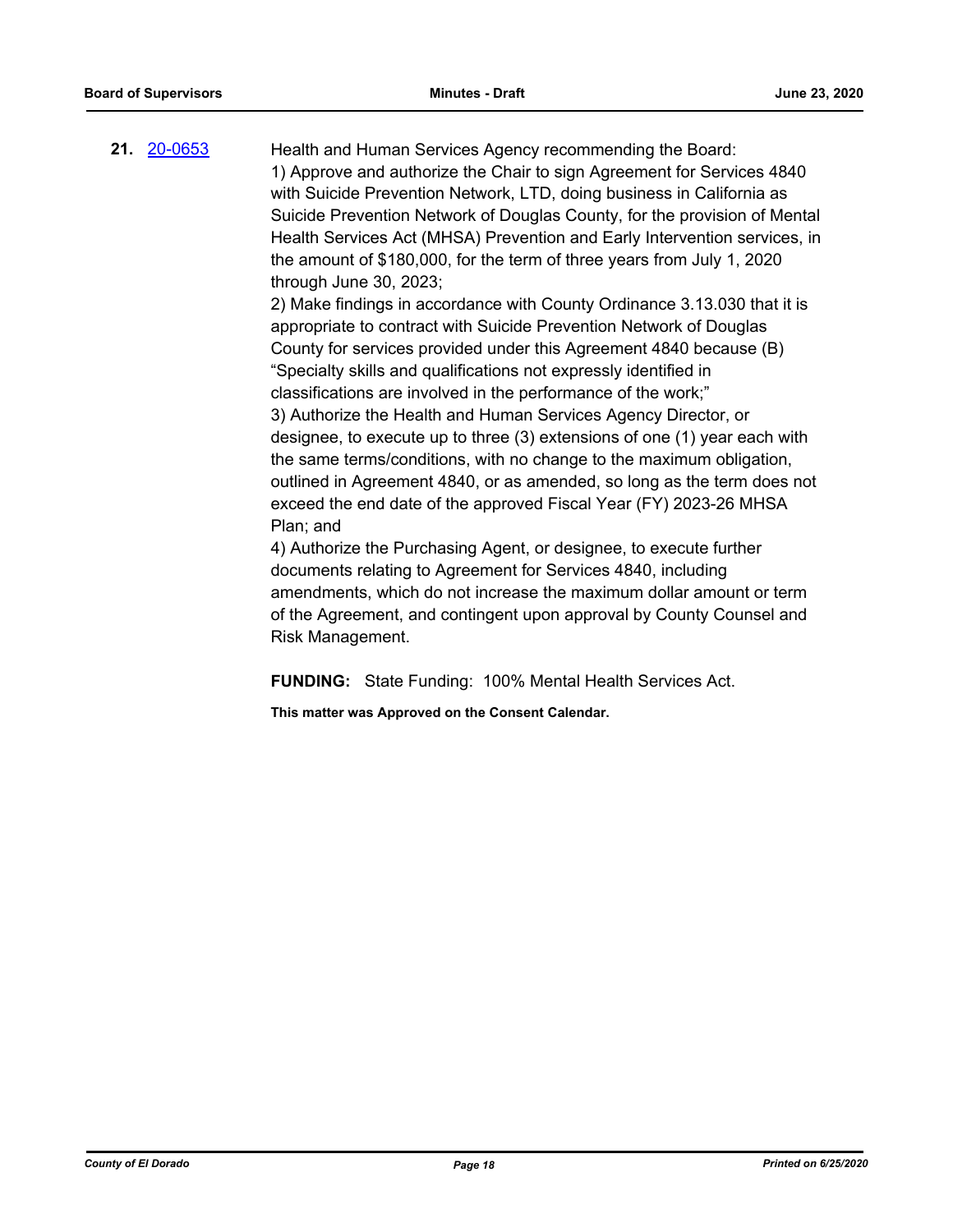| 21. 20-0653 | Health and Human Services Agency recommending the Board:                                      |
|-------------|-----------------------------------------------------------------------------------------------|
|             | 1) Approve and authorize the Chair to sign Agreement for Services 4840                        |
|             | with Suicide Prevention Network, LTD, doing business in California as                         |
|             | Suicide Prevention Network of Douglas County, for the provision of Mental                     |
|             | Health Services Act (MHSA) Prevention and Early Intervention services, in                     |
|             | the amount of \$180,000, for the term of three years from July 1, 2020                        |
|             | through June $30, 2023$ ;                                                                     |
|             | 2) Make findings in accordance with County Ordinance 3.13.030 that it is                      |
|             | appropriate to contract with Suicide Prevention Network of Douglas                            |
|             | County for services provided under this Agreement 4840 because (B)                            |
|             | "Specialty skills and qualifications not expressly identified in                              |
|             | classifications are involved in the performance of the work;"                                 |
|             | 3) Authorize the Health and Human Services Agency Director, or                                |
|             | designee, to execute up to three (3) extensions of one (1) year each with                     |
|             | the same terms/conditions, with no change to the maximum obligation,                          |
|             | outlined in Agreement 4840, or as amended, so long as the term does not                       |
|             | exceed the end date of the approved Fiscal Year (FY) 2023-26 MHSA                             |
|             | Plan; and                                                                                     |
|             | $\Lambda$ ) $\Lambda$ uthariza tha Durahaaina $\Lambda$ aant, ar daaignaa, ta ayaayta furthar |

4) Authorize the Purchasing Agent, or designee, to execute further documents relating to Agreement for Services 4840, including amendments, which do not increase the maximum dollar amount or term of the Agreement, and contingent upon approval by County Counsel and Risk Management.

**FUNDING:** State Funding: 100% Mental Health Services Act.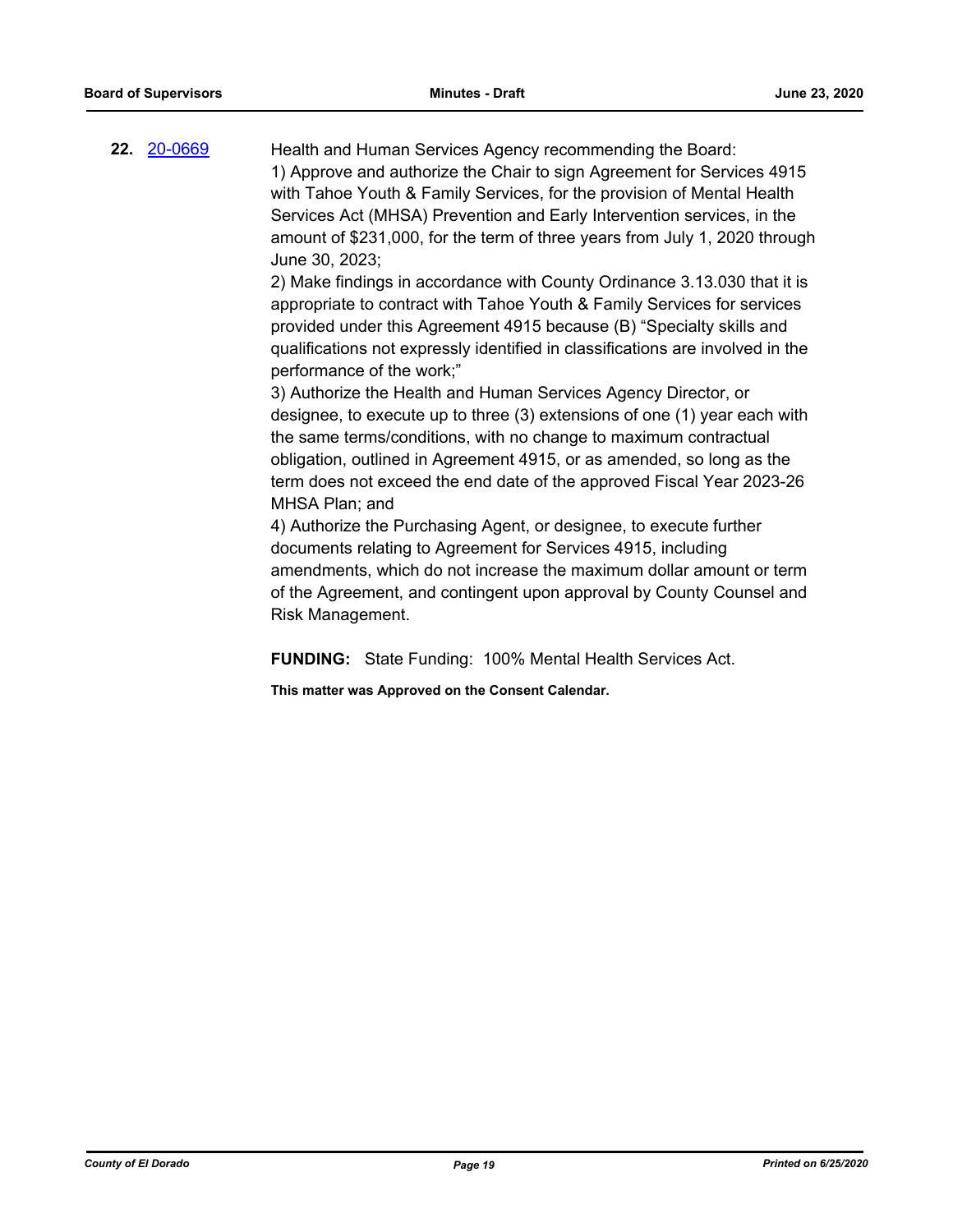**22.** [20-0669](http://eldorado.legistar.com/gateway.aspx?m=l&id=/matter.aspx?key=27875) Health and Human Services Agency recommending the Board: 1) Approve and authorize the Chair to sign Agreement for Services 4915 with Tahoe Youth & Family Services, for the provision of Mental Health Services Act (MHSA) Prevention and Early Intervention services, in the amount of \$231,000, for the term of three years from July 1, 2020 through June 30, 2023;

> 2) Make findings in accordance with County Ordinance 3.13.030 that it is appropriate to contract with Tahoe Youth & Family Services for services provided under this Agreement 4915 because (B) "Specialty skills and qualifications not expressly identified in classifications are involved in the performance of the work;"

> 3) Authorize the Health and Human Services Agency Director, or designee, to execute up to three (3) extensions of one (1) year each with the same terms/conditions, with no change to maximum contractual obligation, outlined in Agreement 4915, or as amended, so long as the term does not exceed the end date of the approved Fiscal Year 2023-26 MHSA Plan; and

> 4) Authorize the Purchasing Agent, or designee, to execute further documents relating to Agreement for Services 4915, including amendments, which do not increase the maximum dollar amount or term of the Agreement, and contingent upon approval by County Counsel and Risk Management.

**FUNDING:** State Funding: 100% Mental Health Services Act.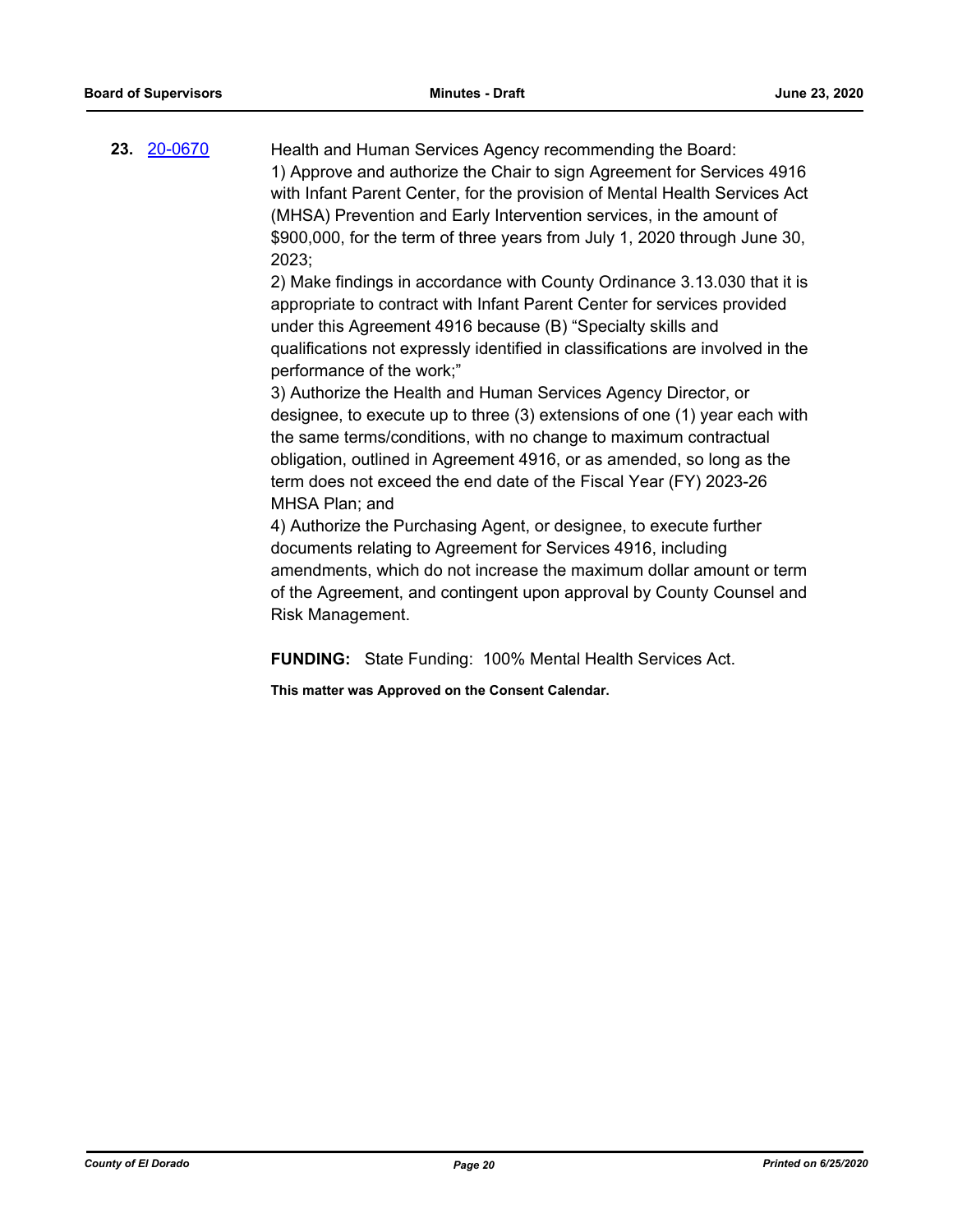**23.** [20-0670](http://eldorado.legistar.com/gateway.aspx?m=l&id=/matter.aspx?key=27876) Health and Human Services Agency recommending the Board: 1) Approve and authorize the Chair to sign Agreement for Services 4916 with Infant Parent Center, for the provision of Mental Health Services Act (MHSA) Prevention and Early Intervention services, in the amount of \$900,000, for the term of three years from July 1, 2020 through June 30, 2023;

> 2) Make findings in accordance with County Ordinance 3.13.030 that it is appropriate to contract with Infant Parent Center for services provided under this Agreement 4916 because (B) "Specialty skills and qualifications not expressly identified in classifications are involved in the performance of the work;"

> 3) Authorize the Health and Human Services Agency Director, or designee, to execute up to three (3) extensions of one (1) year each with the same terms/conditions, with no change to maximum contractual obligation, outlined in Agreement 4916, or as amended, so long as the term does not exceed the end date of the Fiscal Year (FY) 2023-26 MHSA Plan; and

> 4) Authorize the Purchasing Agent, or designee, to execute further documents relating to Agreement for Services 4916, including amendments, which do not increase the maximum dollar amount or term of the Agreement, and contingent upon approval by County Counsel and Risk Management.

**FUNDING:** State Funding: 100% Mental Health Services Act.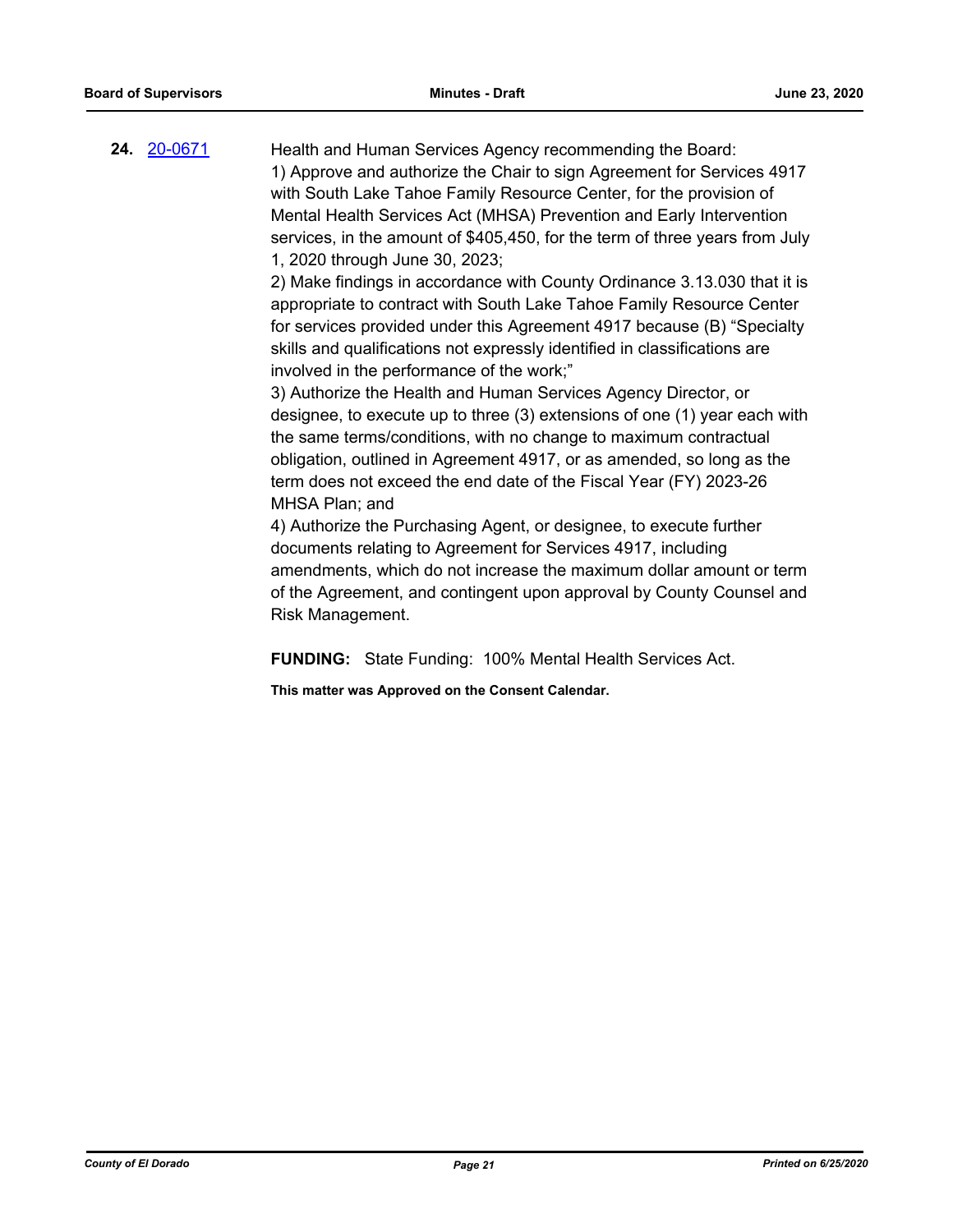**24.** [20-0671](http://eldorado.legistar.com/gateway.aspx?m=l&id=/matter.aspx?key=27877) Health and Human Services Agency recommending the Board: 1) Approve and authorize the Chair to sign Agreement for Services 4917 with South Lake Tahoe Family Resource Center, for the provision of Mental Health Services Act (MHSA) Prevention and Early Intervention services, in the amount of \$405,450, for the term of three years from July 1, 2020 through June 30, 2023;

2) Make findings in accordance with County Ordinance 3.13.030 that it is appropriate to contract with South Lake Tahoe Family Resource Center for services provided under this Agreement 4917 because (B) "Specialty skills and qualifications not expressly identified in classifications are involved in the performance of the work;"

3) Authorize the Health and Human Services Agency Director, or designee, to execute up to three (3) extensions of one (1) year each with the same terms/conditions, with no change to maximum contractual obligation, outlined in Agreement 4917, or as amended, so long as the term does not exceed the end date of the Fiscal Year (FY) 2023-26 MHSA Plan; and

4) Authorize the Purchasing Agent, or designee, to execute further documents relating to Agreement for Services 4917, including amendments, which do not increase the maximum dollar amount or term of the Agreement, and contingent upon approval by County Counsel and Risk Management.

**FUNDING:** State Funding: 100% Mental Health Services Act.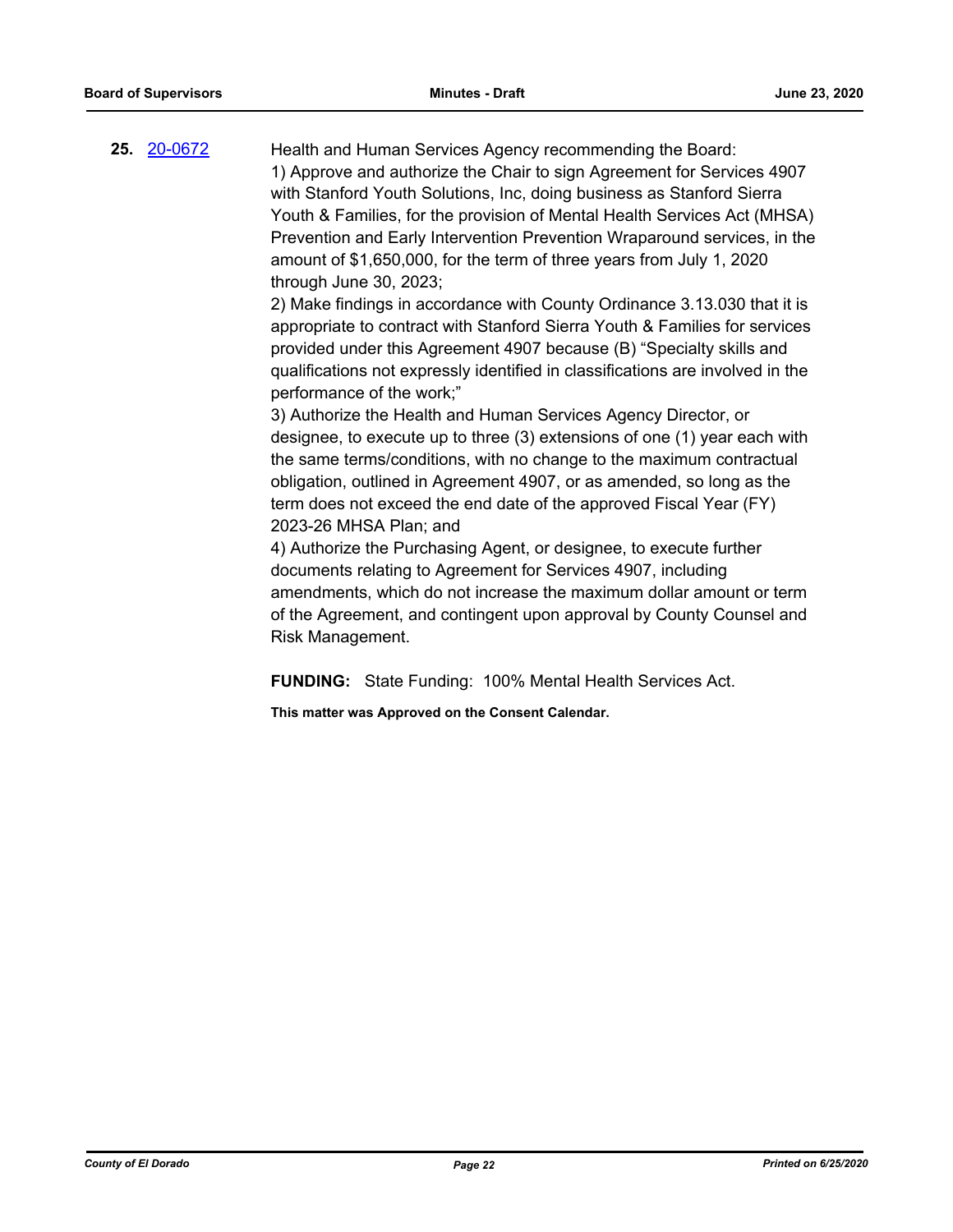**25.** [20-0672](http://eldorado.legistar.com/gateway.aspx?m=l&id=/matter.aspx?key=27878) Health and Human Services Agency recommending the Board: 1) Approve and authorize the Chair to sign Agreement for Services 4907 with Stanford Youth Solutions, Inc, doing business as Stanford Sierra Youth & Families, for the provision of Mental Health Services Act (MHSA) Prevention and Early Intervention Prevention Wraparound services, in the amount of \$1,650,000, for the term of three years from July 1, 2020 through June 30, 2023;

2) Make findings in accordance with County Ordinance 3.13.030 that it is appropriate to contract with Stanford Sierra Youth & Families for services provided under this Agreement 4907 because (B) "Specialty skills and qualifications not expressly identified in classifications are involved in the performance of the work;"

3) Authorize the Health and Human Services Agency Director, or designee, to execute up to three (3) extensions of one (1) year each with the same terms/conditions, with no change to the maximum contractual obligation, outlined in Agreement 4907, or as amended, so long as the term does not exceed the end date of the approved Fiscal Year (FY) 2023-26 MHSA Plan; and

4) Authorize the Purchasing Agent, or designee, to execute further documents relating to Agreement for Services 4907, including amendments, which do not increase the maximum dollar amount or term of the Agreement, and contingent upon approval by County Counsel and Risk Management.

**FUNDING:** State Funding: 100% Mental Health Services Act.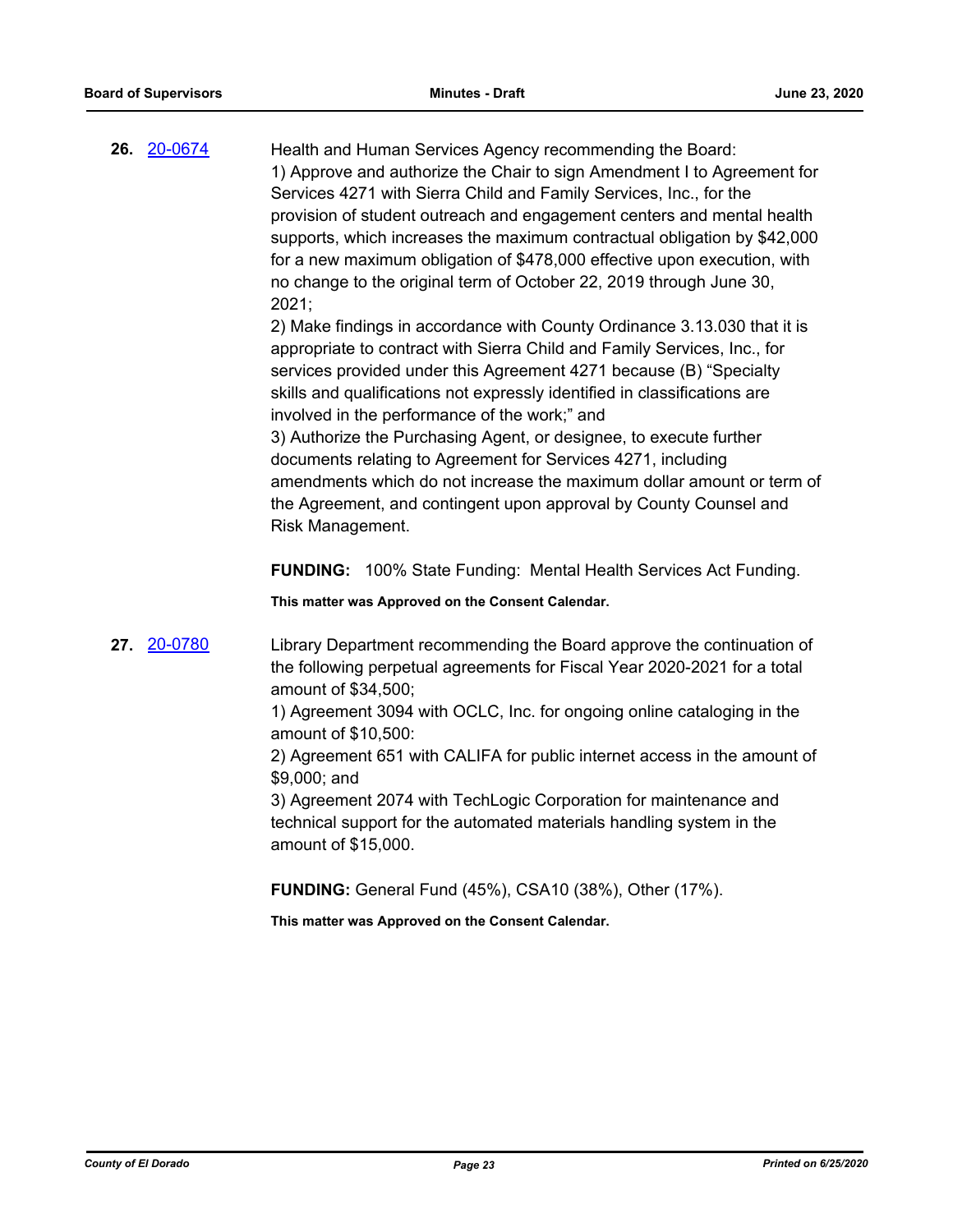**26.** [20-0674](http://eldorado.legistar.com/gateway.aspx?m=l&id=/matter.aspx?key=27880) Health and Human Services Agency recommending the Board: 1) Approve and authorize the Chair to sign Amendment I to Agreement for Services 4271 with Sierra Child and Family Services, Inc., for the provision of student outreach and engagement centers and mental health supports, which increases the maximum contractual obligation by \$42,000 for a new maximum obligation of \$478,000 effective upon execution, with no change to the original term of October 22, 2019 through June 30, 2021; 2) Make findings in accordance with County Ordinance 3.13.030 that it is appropriate to contract with Sierra Child and Family Services, Inc., for

services provided under this Agreement 4271 because (B) "Specialty skills and qualifications not expressly identified in classifications are involved in the performance of the work;" and

3) Authorize the Purchasing Agent, or designee, to execute further documents relating to Agreement for Services 4271, including amendments which do not increase the maximum dollar amount or term of the Agreement, and contingent upon approval by County Counsel and Risk Management.

**FUNDING:** 100% State Funding: Mental Health Services Act Funding.

**This matter was Approved on the Consent Calendar.**

**27.** [20-0780](http://eldorado.legistar.com/gateway.aspx?m=l&id=/matter.aspx?key=27987) Library Department recommending the Board approve the continuation of the following perpetual agreements for Fiscal Year 2020-2021 for a total amount of \$34,500;

> 1) Agreement 3094 with OCLC, Inc. for ongoing online cataloging in the amount of \$10,500:

2) Agreement 651 with CALIFA for public internet access in the amount of \$9,000; and

3) Agreement 2074 with TechLogic Corporation for maintenance and technical support for the automated materials handling system in the amount of \$15,000.

**FUNDING:** General Fund (45%), CSA10 (38%), Other (17%).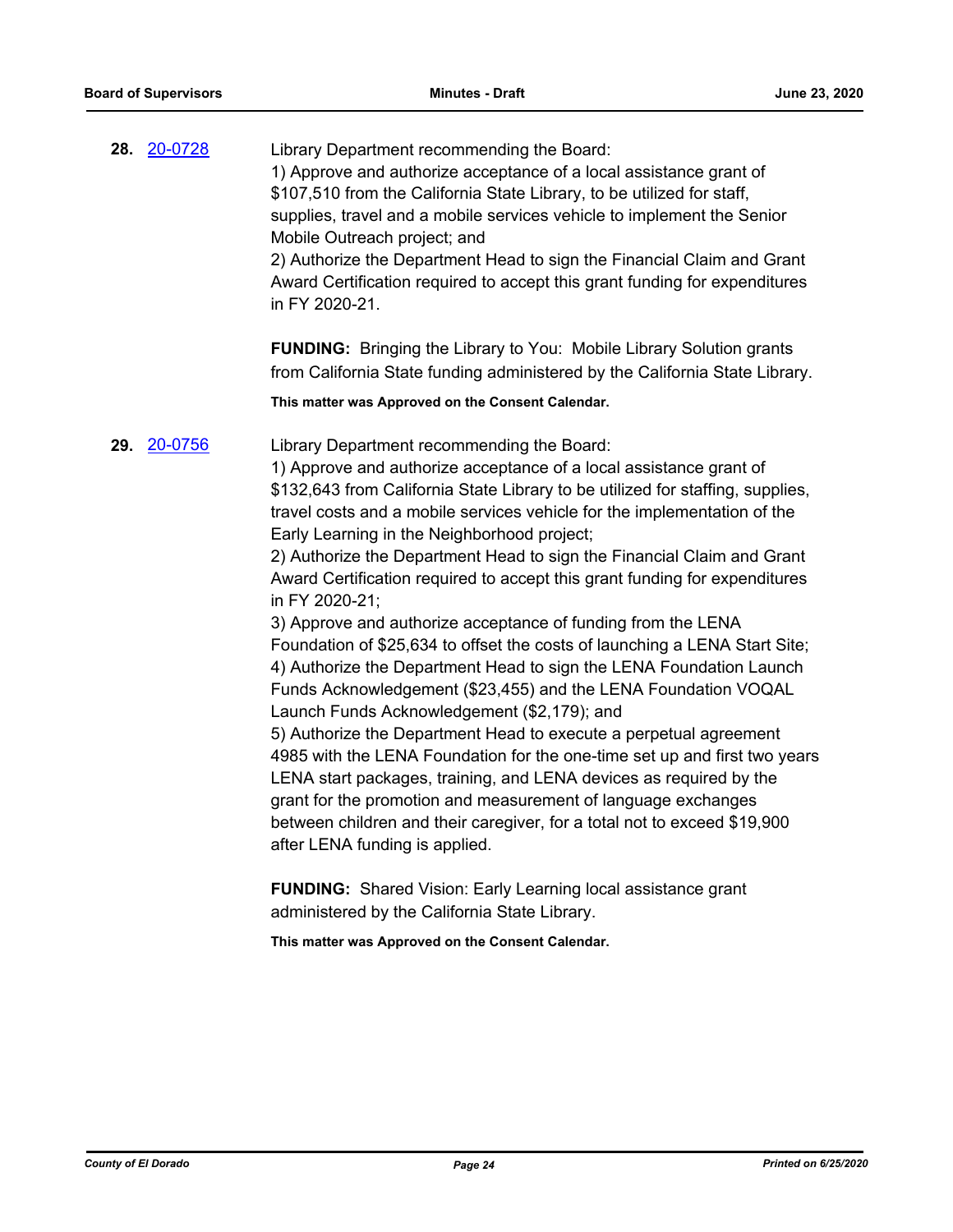| 28. 20-0728        | Library Department recommending the Board:<br>1) Approve and authorize acceptance of a local assistance grant of<br>\$107,510 from the California State Library, to be utilized for staff,<br>supplies, travel and a mobile services vehicle to implement the Senior<br>Mobile Outreach project; and<br>2) Authorize the Department Head to sign the Financial Claim and Grant<br>Award Certification required to accept this grant funding for expenditures<br>in FY 2020-21.                                                                                                                                                                                                                                                                                                                                                                                                                                                                                                                                                                                                                                                                                                                                     |  |
|--------------------|--------------------------------------------------------------------------------------------------------------------------------------------------------------------------------------------------------------------------------------------------------------------------------------------------------------------------------------------------------------------------------------------------------------------------------------------------------------------------------------------------------------------------------------------------------------------------------------------------------------------------------------------------------------------------------------------------------------------------------------------------------------------------------------------------------------------------------------------------------------------------------------------------------------------------------------------------------------------------------------------------------------------------------------------------------------------------------------------------------------------------------------------------------------------------------------------------------------------|--|
|                    | <b>FUNDING:</b> Bringing the Library to You: Mobile Library Solution grants<br>from California State funding administered by the California State Library.                                                                                                                                                                                                                                                                                                                                                                                                                                                                                                                                                                                                                                                                                                                                                                                                                                                                                                                                                                                                                                                         |  |
|                    | This matter was Approved on the Consent Calendar.                                                                                                                                                                                                                                                                                                                                                                                                                                                                                                                                                                                                                                                                                                                                                                                                                                                                                                                                                                                                                                                                                                                                                                  |  |
| <b>29.</b> 20-0756 | Library Department recommending the Board:<br>1) Approve and authorize acceptance of a local assistance grant of<br>\$132,643 from California State Library to be utilized for staffing, supplies,<br>travel costs and a mobile services vehicle for the implementation of the<br>Early Learning in the Neighborhood project;<br>2) Authorize the Department Head to sign the Financial Claim and Grant<br>Award Certification required to accept this grant funding for expenditures<br>in FY 2020-21;<br>3) Approve and authorize acceptance of funding from the LENA<br>Foundation of \$25,634 to offset the costs of launching a LENA Start Site;<br>4) Authorize the Department Head to sign the LENA Foundation Launch<br>Funds Acknowledgement (\$23,455) and the LENA Foundation VOQAL<br>Launch Funds Acknowledgement (\$2,179); and<br>5) Authorize the Department Head to execute a perpetual agreement<br>4985 with the LENA Foundation for the one-time set up and first two years<br>LENA start packages, training, and LENA devices as required by the<br>grant for the promotion and measurement of language exchanges<br>between children and their caregiver, for a total not to exceed \$19,900 |  |

**FUNDING:** Shared Vision: Early Learning local assistance grant administered by the California State Library.

**This matter was Approved on the Consent Calendar.**

after LENA funding is applied.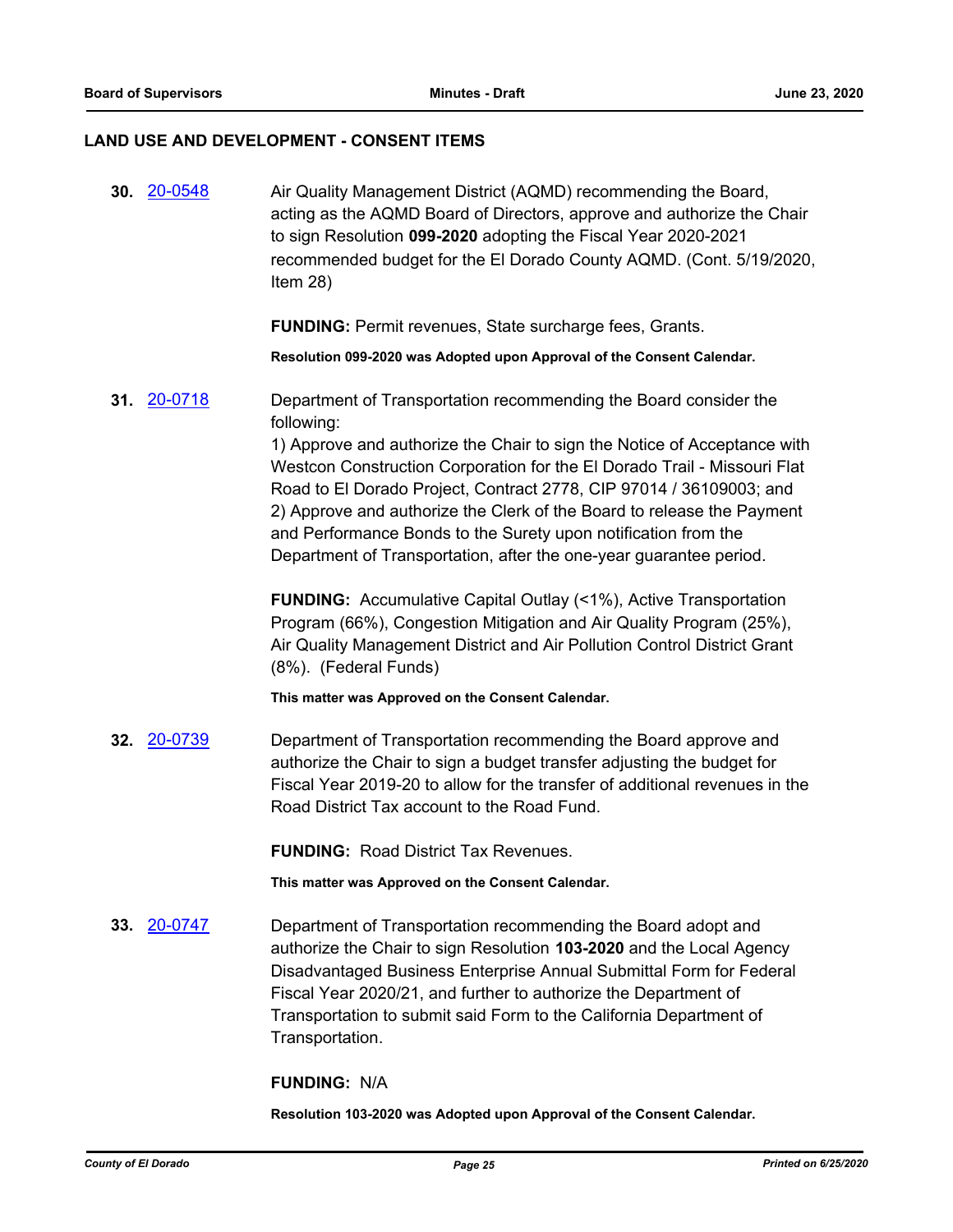#### **LAND USE AND DEVELOPMENT - CONSENT ITEMS**

**30.** [20-0548](http://eldorado.legistar.com/gateway.aspx?m=l&id=/matter.aspx?key=27754) Air Quality Management District (AQMD) recommending the Board, acting as the AQMD Board of Directors, approve and authorize the Chair to sign Resolution **099-2020** adopting the Fiscal Year 2020-2021 recommended budget for the El Dorado County AQMD. (Cont. 5/19/2020, Item 28) **FUNDING:** Permit revenues, State surcharge fees, Grants. **Resolution 099-2020 was Adopted upon Approval of the Consent Calendar. 31.** [20-0718](http://eldorado.legistar.com/gateway.aspx?m=l&id=/matter.aspx?key=27924) Department of Transportation recommending the Board consider the following: 1) Approve and authorize the Chair to sign the Notice of Acceptance with Westcon Construction Corporation for the El Dorado Trail - Missouri Flat Road to El Dorado Project, Contract 2778, CIP 97014 / 36109003; and 2) Approve and authorize the Clerk of the Board to release the Payment and Performance Bonds to the Surety upon notification from the Department of Transportation, after the one-year guarantee period. **FUNDING:** Accumulative Capital Outlay (<1%), Active Transportation Program (66%), Congestion Mitigation and Air Quality Program (25%), Air Quality Management District and Air Pollution Control District Grant (8%). (Federal Funds) **This matter was Approved on the Consent Calendar. 32.** [20-0739](http://eldorado.legistar.com/gateway.aspx?m=l&id=/matter.aspx?key=27946) Department of Transportation recommending the Board approve and authorize the Chair to sign a budget transfer adjusting the budget for Fiscal Year 2019-20 to allow for the transfer of additional revenues in the Road District Tax account to the Road Fund. **FUNDING:** Road District Tax Revenues. **This matter was Approved on the Consent Calendar. 33.** [20-0747](http://eldorado.legistar.com/gateway.aspx?m=l&id=/matter.aspx?key=27954) Department of Transportation recommending the Board adopt and authorize the Chair to sign Resolution **103-2020** and the Local Agency Disadvantaged Business Enterprise Annual Submittal Form for Federal Fiscal Year 2020/21, and further to authorize the Department of Transportation to submit said Form to the California Department of Transportation. **FUNDING:** N/A

**Resolution 103-2020 was Adopted upon Approval of the Consent Calendar.**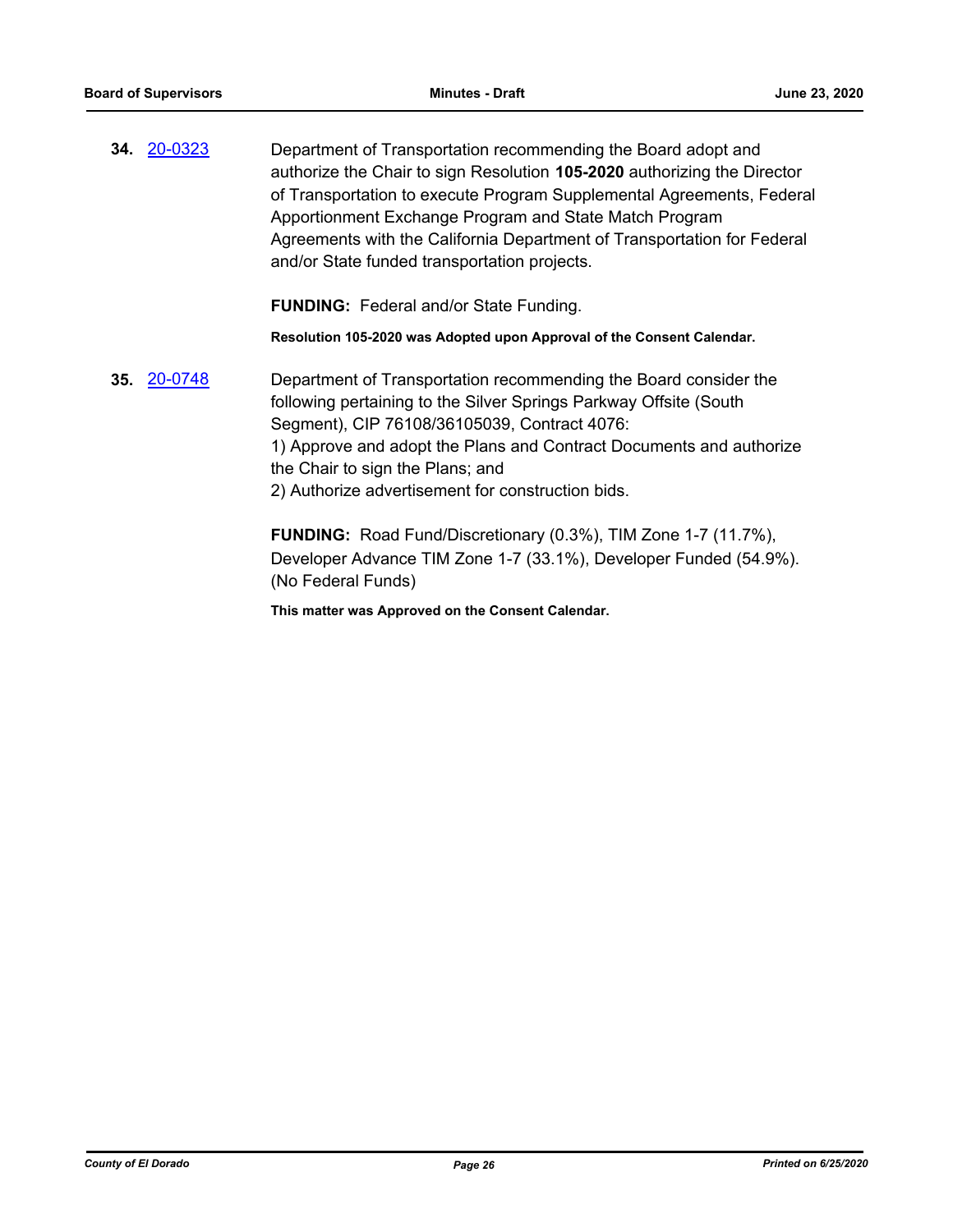**34.** [20-0323](http://eldorado.legistar.com/gateway.aspx?m=l&id=/matter.aspx?key=27528) Department of Transportation recommending the Board adopt and authorize the Chair to sign Resolution **105-2020** authorizing the Director of Transportation to execute Program Supplemental Agreements, Federal Apportionment Exchange Program and State Match Program Agreements with the California Department of Transportation for Federal and/or State funded transportation projects.

**FUNDING:** Federal and/or State Funding.

**Resolution 105-2020 was Adopted upon Approval of the Consent Calendar.**

**35.** [20-0748](http://eldorado.legistar.com/gateway.aspx?m=l&id=/matter.aspx?key=27955) Department of Transportation recommending the Board consider the following pertaining to the Silver Springs Parkway Offsite (South Segment), CIP 76108/36105039, Contract 4076: 1) Approve and adopt the Plans and Contract Documents and authorize the Chair to sign the Plans; and 2) Authorize advertisement for construction bids.

> **FUNDING:** Road Fund/Discretionary (0.3%), TIM Zone 1-7 (11.7%), Developer Advance TIM Zone 1-7 (33.1%), Developer Funded (54.9%). (No Federal Funds)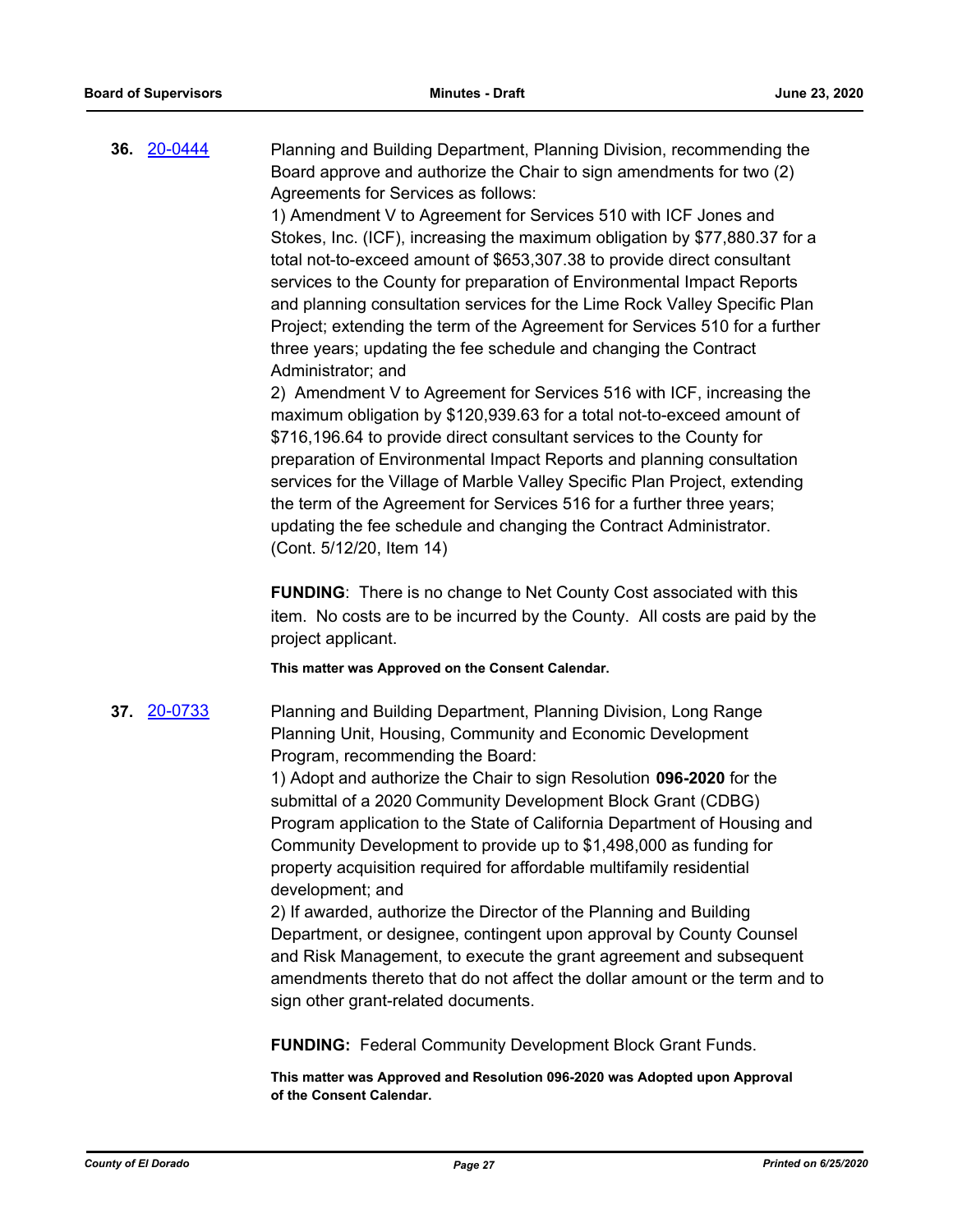**36.** [20-0444](http://eldorado.legistar.com/gateway.aspx?m=l&id=/matter.aspx?key=27650) Planning and Building Department, Planning Division, recommending the Board approve and authorize the Chair to sign amendments for two (2) Agreements for Services as follows:

1) Amendment V to Agreement for Services 510 with ICF Jones and Stokes, Inc. (ICF), increasing the maximum obligation by \$77,880.37 for a total not-to-exceed amount of \$653,307.38 to provide direct consultant services to the County for preparation of Environmental Impact Reports and planning consultation services for the Lime Rock Valley Specific Plan Project; extending the term of the Agreement for Services 510 for a further three years; updating the fee schedule and changing the Contract Administrator; and

2) Amendment V to Agreement for Services 516 with ICF, increasing the maximum obligation by \$120,939.63 for a total not-to-exceed amount of \$716,196.64 to provide direct consultant services to the County for preparation of Environmental Impact Reports and planning consultation services for the Village of Marble Valley Specific Plan Project, extending the term of the Agreement for Services 516 for a further three years; updating the fee schedule and changing the Contract Administrator. (Cont. 5/12/20, Item 14)

**FUNDING**: There is no change to Net County Cost associated with this item. No costs are to be incurred by the County. All costs are paid by the project applicant.

**This matter was Approved on the Consent Calendar.**

**37.** [20-0733](http://eldorado.legistar.com/gateway.aspx?m=l&id=/matter.aspx?key=27940) Planning and Building Department, Planning Division, Long Range Planning Unit, Housing, Community and Economic Development Program, recommending the Board:

> 1) Adopt and authorize the Chair to sign Resolution **096-2020** for the submittal of a 2020 Community Development Block Grant (CDBG) Program application to the State of California Department of Housing and Community Development to provide up to \$1,498,000 as funding for property acquisition required for affordable multifamily residential development; and

2) If awarded, authorize the Director of the Planning and Building Department, or designee, contingent upon approval by County Counsel and Risk Management, to execute the grant agreement and subsequent amendments thereto that do not affect the dollar amount or the term and to sign other grant-related documents.

**FUNDING:** Federal Community Development Block Grant Funds.

**This matter was Approved and Resolution 096-2020 was Adopted upon Approval of the Consent Calendar.**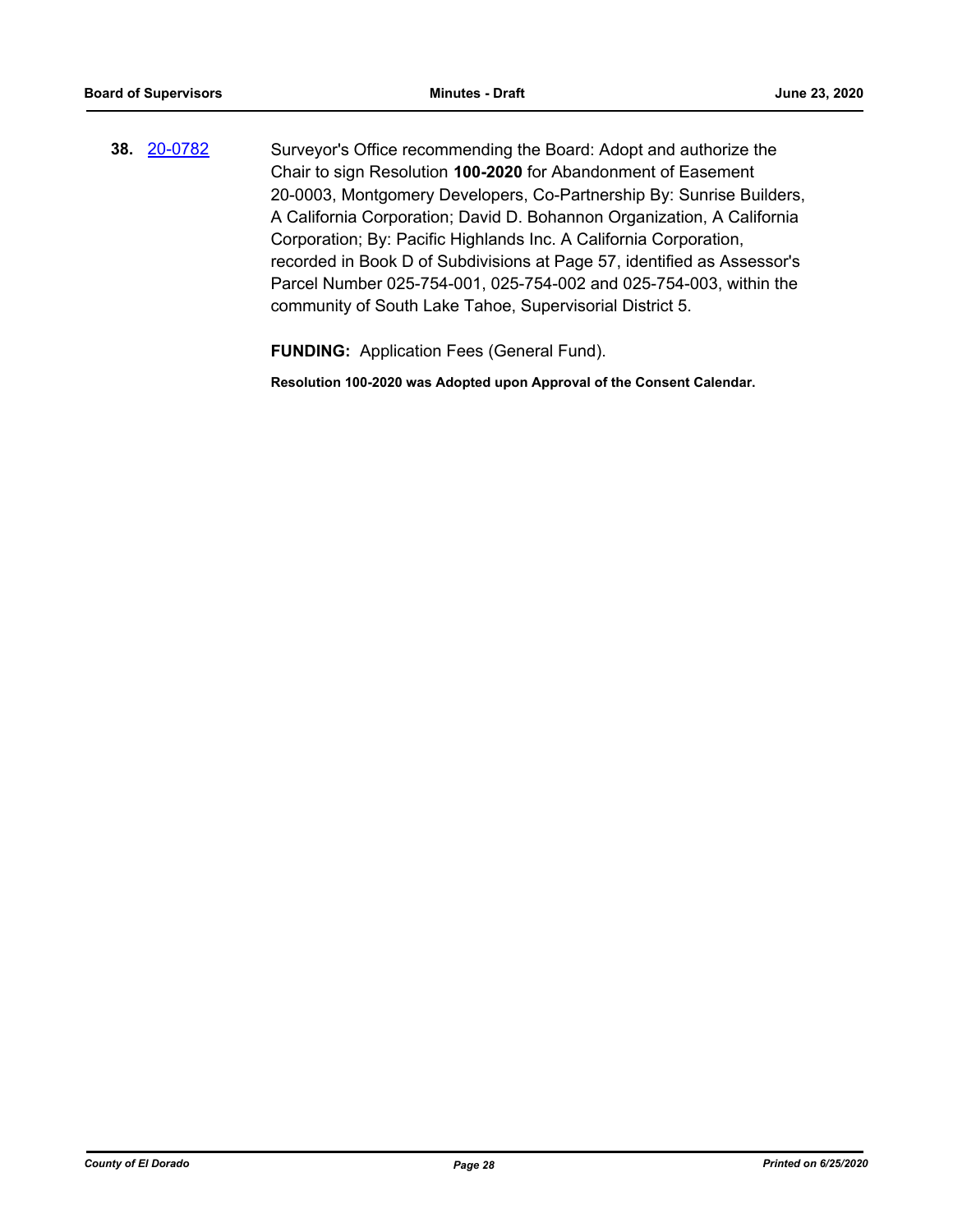**38.** [20-0782](http://eldorado.legistar.com/gateway.aspx?m=l&id=/matter.aspx?key=27989) Surveyor's Office recommending the Board: Adopt and authorize the Chair to sign Resolution **100-2020** for Abandonment of Easement 20-0003, Montgomery Developers, Co-Partnership By: Sunrise Builders, A California Corporation; David D. Bohannon Organization, A California Corporation; By: Pacific Highlands Inc. A California Corporation, recorded in Book D of Subdivisions at Page 57, identified as Assessor's Parcel Number 025-754-001, 025-754-002 and 025-754-003, within the community of South Lake Tahoe, Supervisorial District 5.

**FUNDING:** Application Fees (General Fund).

**Resolution 100-2020 was Adopted upon Approval of the Consent Calendar.**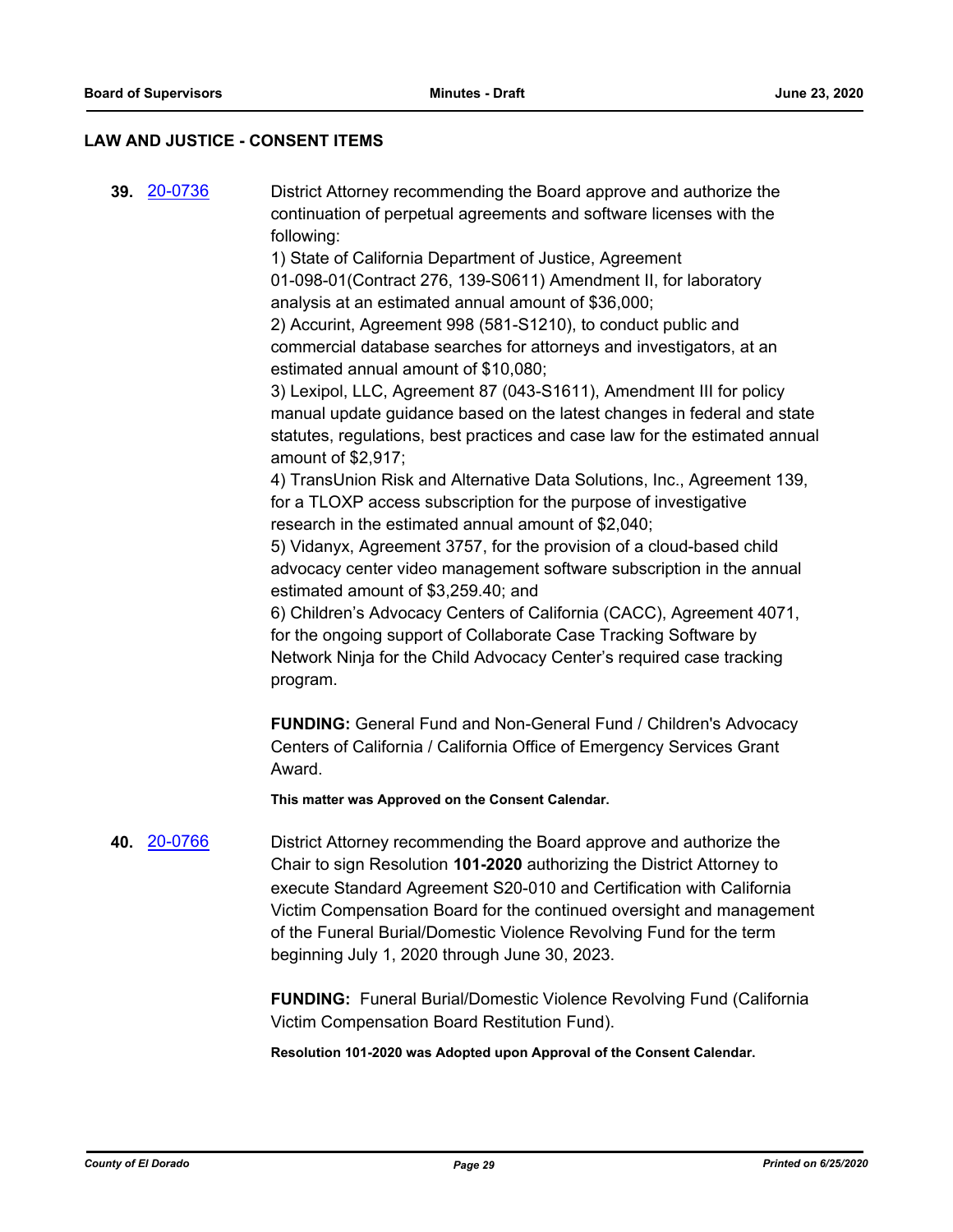#### **LAW AND JUSTICE - CONSENT ITEMS**

**39.** [20-0736](http://eldorado.legistar.com/gateway.aspx?m=l&id=/matter.aspx?key=27943) District Attorney recommending the Board approve and authorize the continuation of perpetual agreements and software licenses with the following:

> 1) State of California Department of Justice, Agreement 01-098-01(Contract 276, 139-S0611) Amendment II, for laboratory analysis at an estimated annual amount of \$36,000;

2) Accurint, Agreement 998 (581-S1210), to conduct public and commercial database searches for attorneys and investigators, at an estimated annual amount of \$10,080;

3) Lexipol, LLC, Agreement 87 (043-S1611), Amendment III for policy manual update guidance based on the latest changes in federal and state statutes, regulations, best practices and case law for the estimated annual amount of \$2,917;

4) TransUnion Risk and Alternative Data Solutions, Inc., Agreement 139, for a TLOXP access subscription for the purpose of investigative research in the estimated annual amount of \$2,040;

5) Vidanyx, Agreement 3757, for the provision of a cloud-based child advocacy center video management software subscription in the annual estimated amount of \$3,259.40; and

6) Children's Advocacy Centers of California (CACC), Agreement 4071, for the ongoing support of Collaborate Case Tracking Software by Network Ninja for the Child Advocacy Center's required case tracking program.

**FUNDING:** General Fund and Non-General Fund / Children's Advocacy Centers of California / California Office of Emergency Services Grant Award.

**This matter was Approved on the Consent Calendar.**

## **40.** [20-0766](http://eldorado.legistar.com/gateway.aspx?m=l&id=/matter.aspx?key=27973) District Attorney recommending the Board approve and authorize the Chair to sign Resolution **101-2020** authorizing the District Attorney to execute Standard Agreement S20-010 and Certification with California Victim Compensation Board for the continued oversight and management of the Funeral Burial/Domestic Violence Revolving Fund for the term beginning July 1, 2020 through June 30, 2023.

**FUNDING:** Funeral Burial/Domestic Violence Revolving Fund (California Victim Compensation Board Restitution Fund).

**Resolution 101-2020 was Adopted upon Approval of the Consent Calendar.**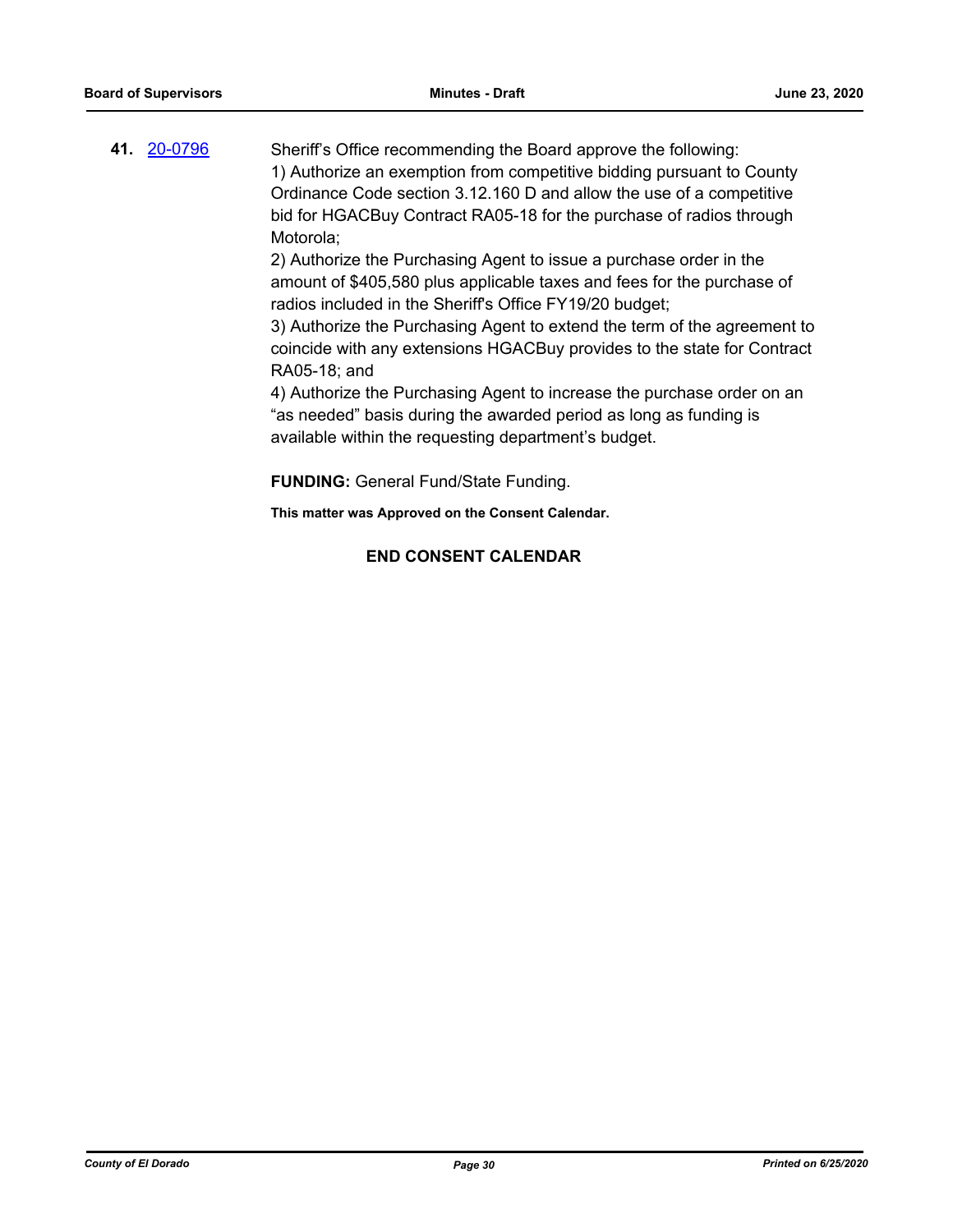**41.** [20-0796](http://eldorado.legistar.com/gateway.aspx?m=l&id=/matter.aspx?key=28003) Sheriff's Office recommending the Board approve the following: 1) Authorize an exemption from competitive bidding pursuant to County Ordinance Code section 3.12.160 D and allow the use of a competitive bid for HGACBuy Contract RA05-18 for the purchase of radios through Motorola;

> 2) Authorize the Purchasing Agent to issue a purchase order in the amount of \$405,580 plus applicable taxes and fees for the purchase of radios included in the Sheriff's Office FY19/20 budget;

3) Authorize the Purchasing Agent to extend the term of the agreement to coincide with any extensions HGACBuy provides to the state for Contract RA05-18; and

4) Authorize the Purchasing Agent to increase the purchase order on an "as needed" basis during the awarded period as long as funding is available within the requesting department's budget.

**FUNDING:** General Fund/State Funding.

**This matter was Approved on the Consent Calendar.**

## **END CONSENT CALENDAR**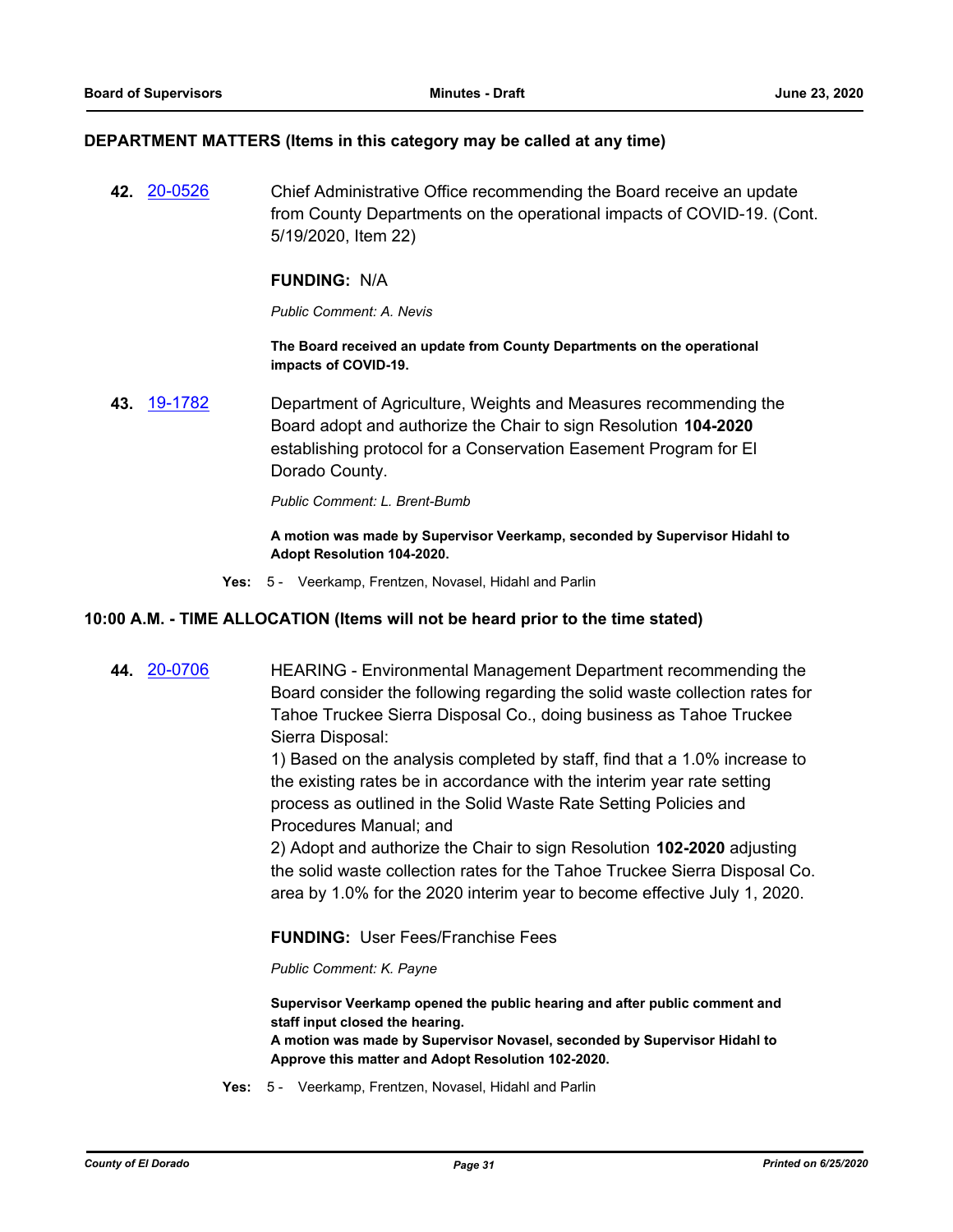### **DEPARTMENT MATTERS (Items in this category may be called at any time)**

**42.** [20-0526](http://eldorado.legistar.com/gateway.aspx?m=l&id=/matter.aspx?key=27732) Chief Administrative Office recommending the Board receive an update from County Departments on the operational impacts of COVID-19. (Cont. 5/19/2020, Item 22)

## **FUNDING:** N/A

*Public Comment: A. Nevis*

**The Board received an update from County Departments on the operational impacts of COVID-19.**

**43.** [19-1782](http://eldorado.legistar.com/gateway.aspx?m=l&id=/matter.aspx?key=27106) Department of Agriculture, Weights and Measures recommending the Board adopt and authorize the Chair to sign Resolution **104-2020** establishing protocol for a Conservation Easement Program for El Dorado County.

#### *Public Comment: L. Brent-Bumb*

**A motion was made by Supervisor Veerkamp, seconded by Supervisor Hidahl to Adopt Resolution 104-2020.**

**Yes:** 5 - Veerkamp, Frentzen, Novasel, Hidahl and Parlin

## **10:00 A.M. - TIME ALLOCATION (Items will not be heard prior to the time stated)**

**44.** [20-0706](http://eldorado.legistar.com/gateway.aspx?m=l&id=/matter.aspx?key=27912) HEARING - Environmental Management Department recommending the Board consider the following regarding the solid waste collection rates for Tahoe Truckee Sierra Disposal Co., doing business as Tahoe Truckee Sierra Disposal:

> 1) Based on the analysis completed by staff, find that a 1.0% increase to the existing rates be in accordance with the interim year rate setting process as outlined in the Solid Waste Rate Setting Policies and Procedures Manual; and

2) Adopt and authorize the Chair to sign Resolution **102-2020** adjusting the solid waste collection rates for the Tahoe Truckee Sierra Disposal Co. area by 1.0% for the 2020 interim year to become effective July 1, 2020.

**FUNDING:** User Fees/Franchise Fees

#### *Public Comment: K. Payne*

**Supervisor Veerkamp opened the public hearing and after public comment and staff input closed the hearing.**

**A motion was made by Supervisor Novasel, seconded by Supervisor Hidahl to Approve this matter and Adopt Resolution 102-2020.**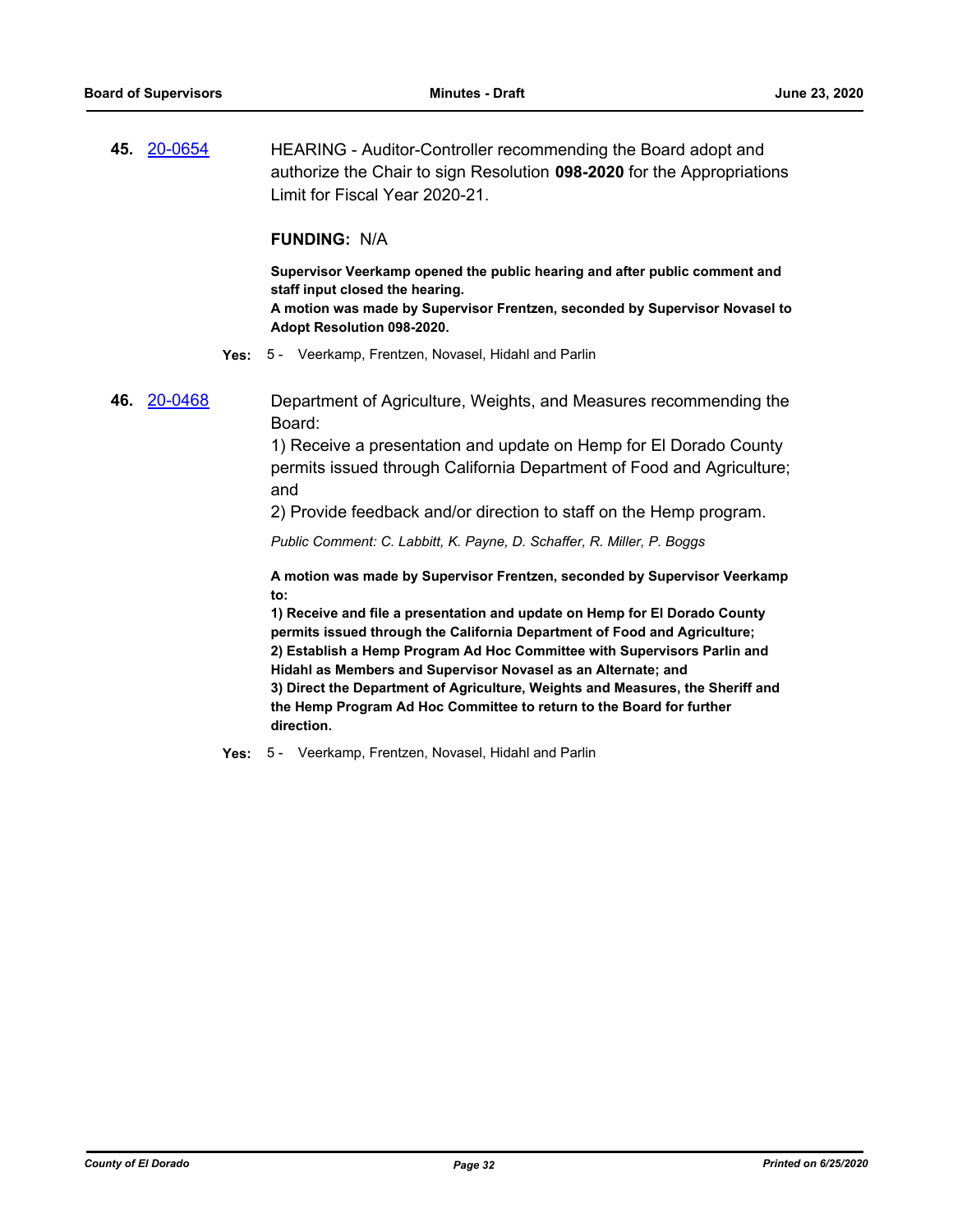**45.** [20-0654](http://eldorado.legistar.com/gateway.aspx?m=l&id=/matter.aspx?key=27860) HEARING - Auditor-Controller recommending the Board adopt and authorize the Chair to sign Resolution **098-2020** for the Appropriations Limit for Fiscal Year 2020-21.

### **FUNDING:** N/A

**Supervisor Veerkamp opened the public hearing and after public comment and staff input closed the hearing. A motion was made by Supervisor Frentzen, seconded by Supervisor Novasel to Adopt Resolution 098-2020.**

- **Yes:** 5 Veerkamp, Frentzen, Novasel, Hidahl and Parlin
- **46.** [20-0468](http://eldorado.legistar.com/gateway.aspx?m=l&id=/matter.aspx?key=27674) Department of Agriculture, Weights, and Measures recommending the Board:

1) Receive a presentation and update on Hemp for El Dorado County permits issued through California Department of Food and Agriculture; and

2) Provide feedback and/or direction to staff on the Hemp program.

*Public Comment: C. Labbitt, K. Payne, D. Schaffer, R. Miller, P. Boggs*

**A motion was made by Supervisor Frentzen, seconded by Supervisor Veerkamp to:**

**1) Receive and file a presentation and update on Hemp for El Dorado County permits issued through the California Department of Food and Agriculture; 2) Establish a Hemp Program Ad Hoc Committee with Supervisors Parlin and Hidahl as Members and Supervisor Novasel as an Alternate; and 3) Direct the Department of Agriculture, Weights and Measures, the Sheriff and the Hemp Program Ad Hoc Committee to return to the Board for further direction.**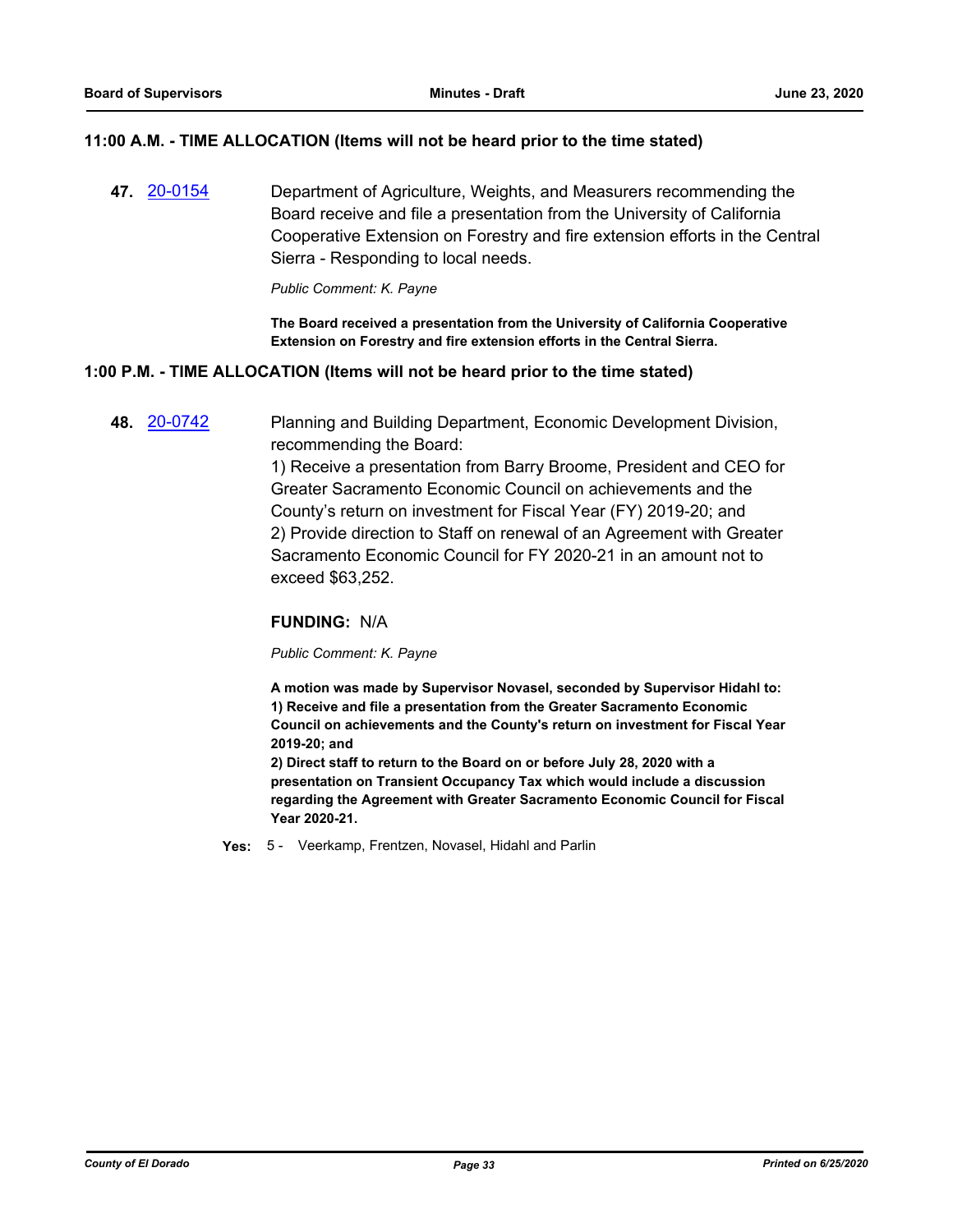## **11:00 A.M. - TIME ALLOCATION (Items will not be heard prior to the time stated)**

**47.** [20-0154](http://eldorado.legistar.com/gateway.aspx?m=l&id=/matter.aspx?key=27359) Department of Agriculture, Weights, and Measurers recommending the Board receive and file a presentation from the University of California Cooperative Extension on Forestry and fire extension efforts in the Central Sierra - Responding to local needs.

*Public Comment: K. Payne*

**The Board received a presentation from the University of California Cooperative Extension on Forestry and fire extension efforts in the Central Sierra.**

## **1:00 P.M. - TIME ALLOCATION (Items will not be heard prior to the time stated)**

**48.** [20-0742](http://eldorado.legistar.com/gateway.aspx?m=l&id=/matter.aspx?key=27949) Planning and Building Department, Economic Development Division, recommending the Board:

> 1) Receive a presentation from Barry Broome, President and CEO for Greater Sacramento Economic Council on achievements and the County's return on investment for Fiscal Year (FY) 2019-20; and 2) Provide direction to Staff on renewal of an Agreement with Greater Sacramento Economic Council for FY 2020-21 in an amount not to exceed \$63,252.

#### **FUNDING:** N/A

*Public Comment: K. Payne*

**A motion was made by Supervisor Novasel, seconded by Supervisor Hidahl to: 1) Receive and file a presentation from the Greater Sacramento Economic Council on achievements and the County's return on investment for Fiscal Year 2019-20; and**

**2) Direct staff to return to the Board on or before July 28, 2020 with a presentation on Transient Occupancy Tax which would include a discussion regarding the Agreement with Greater Sacramento Economic Council for Fiscal Year 2020-21.**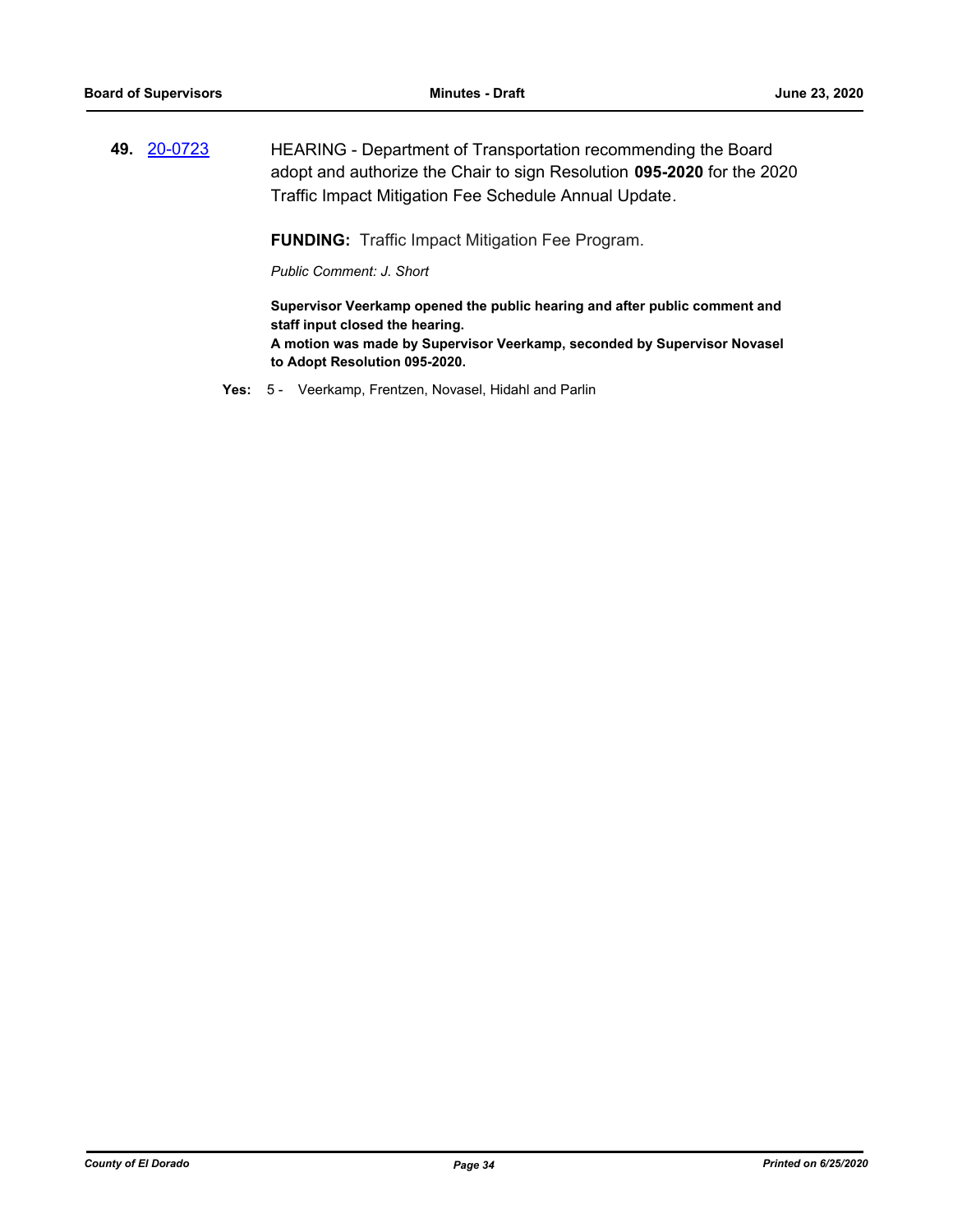**49.** [20-0723](http://eldorado.legistar.com/gateway.aspx?m=l&id=/matter.aspx?key=27930) HEARING - Department of Transportation recommending the Board adopt and authorize the Chair to sign Resolution **095-2020** for the 2020 Traffic Impact Mitigation Fee Schedule Annual Update*.*

**FUNDING:** Traffic Impact Mitigation Fee Program.

*Public Comment: J. Short*

**Supervisor Veerkamp opened the public hearing and after public comment and staff input closed the hearing.**

**A motion was made by Supervisor Veerkamp, seconded by Supervisor Novasel to Adopt Resolution 095-2020.**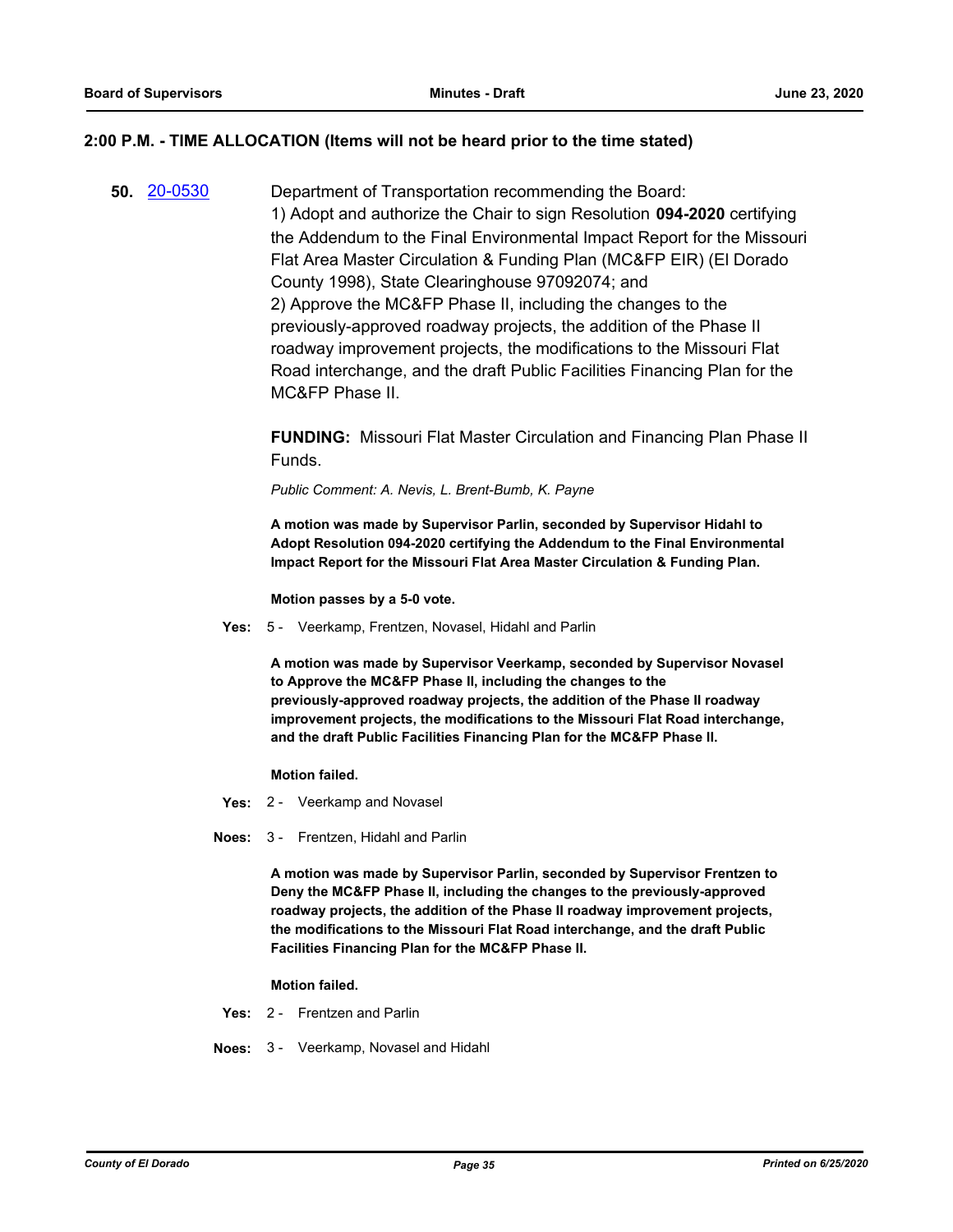## **2:00 P.M. - TIME ALLOCATION (Items will not be heard prior to the time stated)**

**50.** [20-0530](http://eldorado.legistar.com/gateway.aspx?m=l&id=/matter.aspx?key=27736) Department of Transportation recommending the Board: 1) Adopt and authorize the Chair to sign Resolution **094-2020** certifying the Addendum to the Final Environmental Impact Report for the Missouri Flat Area Master Circulation & Funding Plan (MC&FP EIR) (El Dorado County 1998), State Clearinghouse 97092074; and 2) Approve the MC&FP Phase II, including the changes to the previously-approved roadway projects, the addition of the Phase II roadway improvement projects, the modifications to the Missouri Flat Road interchange, and the draft Public Facilities Financing Plan for the MC&FP Phase II.

> **FUNDING:** Missouri Flat Master Circulation and Financing Plan Phase II Funds.

*Public Comment: A. Nevis, L. Brent-Bumb, K. Payne*

**A motion was made by Supervisor Parlin, seconded by Supervisor Hidahl to Adopt Resolution 094-2020 certifying the Addendum to the Final Environmental Impact Report for the Missouri Flat Area Master Circulation & Funding Plan.**

**Motion passes by a 5-0 vote.**

**Yes:** 5 - Veerkamp, Frentzen, Novasel, Hidahl and Parlin

**A motion was made by Supervisor Veerkamp, seconded by Supervisor Novasel to Approve the MC&FP Phase II, including the changes to the previously-approved roadway projects, the addition of the Phase II roadway improvement projects, the modifications to the Missouri Flat Road interchange, and the draft Public Facilities Financing Plan for the MC&FP Phase II.**

**Motion failed.**

- **Yes:** 2 Veerkamp and Novasel
- **Noes:** 3 Frentzen, Hidahl and Parlin

**A motion was made by Supervisor Parlin, seconded by Supervisor Frentzen to Deny the MC&FP Phase II, including the changes to the previously-approved roadway projects, the addition of the Phase II roadway improvement projects, the modifications to the Missouri Flat Road interchange, and the draft Public Facilities Financing Plan for the MC&FP Phase II.**

#### **Motion failed.**

- **Yes:** 2 Frentzen and Parlin
- **Noes:** 3 Veerkamp, Novasel and Hidahl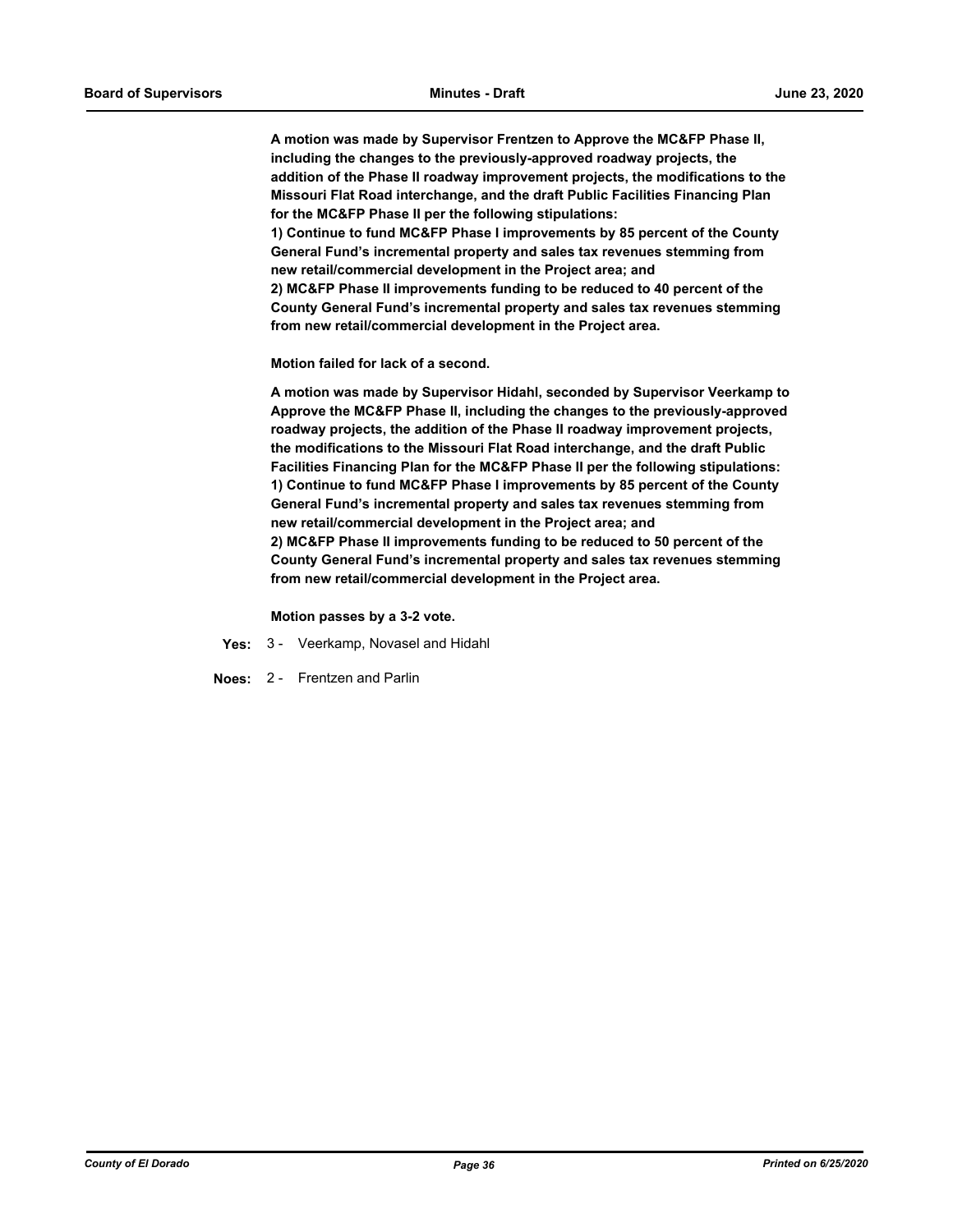**A motion was made by Supervisor Frentzen to Approve the MC&FP Phase II, including the changes to the previously-approved roadway projects, the addition of the Phase II roadway improvement projects, the modifications to the Missouri Flat Road interchange, and the draft Public Facilities Financing Plan for the MC&FP Phase II per the following stipulations: 1) Continue to fund MC&FP Phase I improvements by 85 percent of the County General Fund's incremental property and sales tax revenues stemming from new retail/commercial development in the Project area; and 2) MC&FP Phase II improvements funding to be reduced to 40 percent of the County General Fund's incremental property and sales tax revenues stemming from new retail/commercial development in the Project area.** 

**Motion failed for lack of a second.**

**A motion was made by Supervisor Hidahl, seconded by Supervisor Veerkamp to Approve the MC&FP Phase II, including the changes to the previously-approved roadway projects, the addition of the Phase II roadway improvement projects, the modifications to the Missouri Flat Road interchange, and the draft Public Facilities Financing Plan for the MC&FP Phase II per the following stipulations: 1) Continue to fund MC&FP Phase I improvements by 85 percent of the County General Fund's incremental property and sales tax revenues stemming from new retail/commercial development in the Project area; and 2) MC&FP Phase II improvements funding to be reduced to 50 percent of the County General Fund's incremental property and sales tax revenues stemming from new retail/commercial development in the Project area.** 

**Motion passes by a 3-2 vote.**

- **Yes:** 3 Veerkamp, Novasel and Hidahl
- **Noes:** 2 Frentzen and Parlin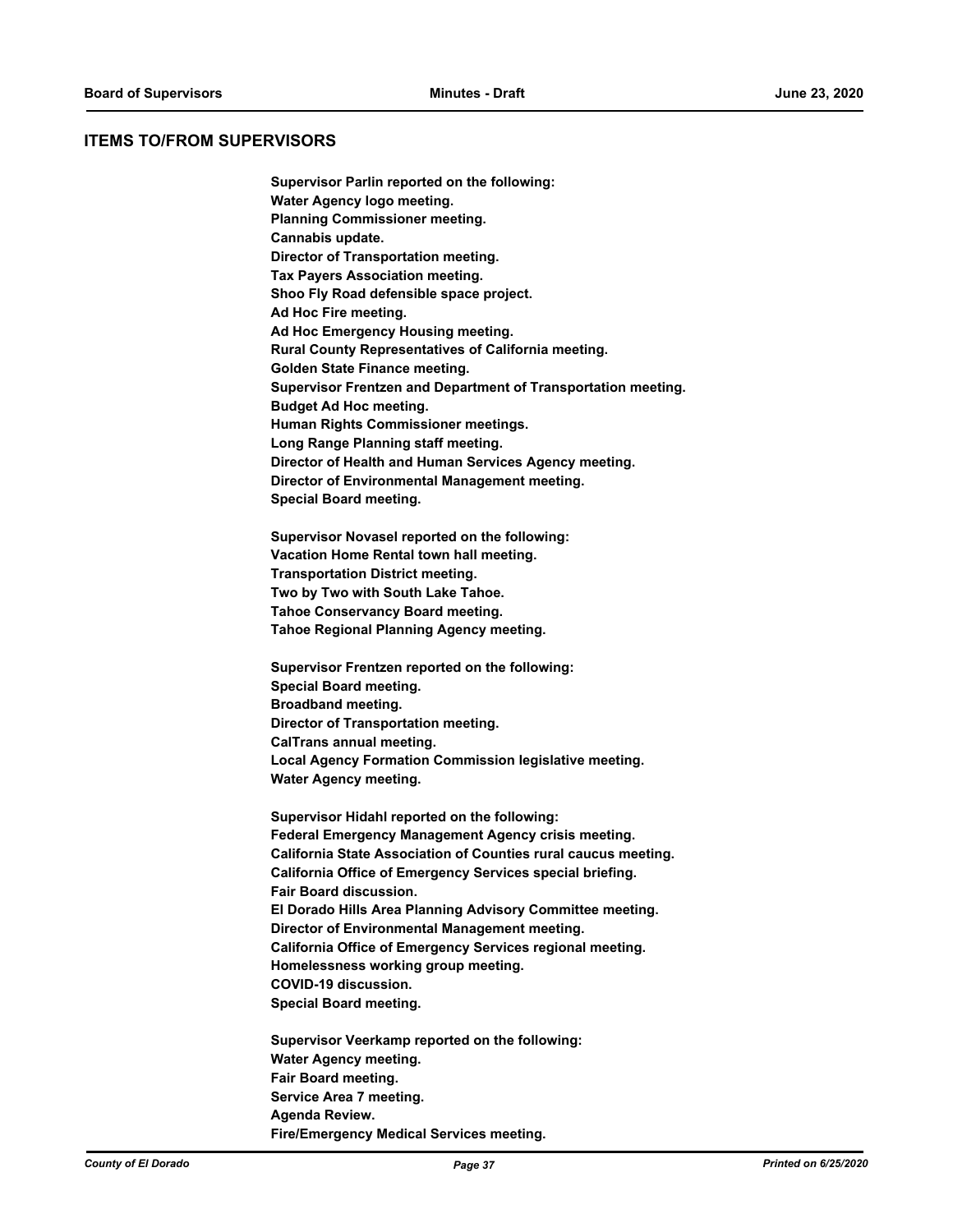#### **ITEMS TO/FROM SUPERVISORS**

**Supervisor Parlin reported on the following: Water Agency logo meeting. Planning Commissioner meeting. Cannabis update. Director of Transportation meeting. Tax Payers Association meeting. Shoo Fly Road defensible space project. Ad Hoc Fire meeting. Ad Hoc Emergency Housing meeting. Rural County Representatives of California meeting. Golden State Finance meeting. Supervisor Frentzen and Department of Transportation meeting. Budget Ad Hoc meeting. Human Rights Commissioner meetings. Long Range Planning staff meeting. Director of Health and Human Services Agency meeting. Director of Environmental Management meeting. Special Board meeting.**

**Supervisor Novasel reported on the following: Vacation Home Rental town hall meeting. Transportation District meeting. Two by Two with South Lake Tahoe. Tahoe Conservancy Board meeting. Tahoe Regional Planning Agency meeting.**

**Supervisor Frentzen reported on the following: Special Board meeting. Broadband meeting. Director of Transportation meeting. CalTrans annual meeting. Local Agency Formation Commission legislative meeting. Water Agency meeting.**

**Supervisor Hidahl reported on the following: Federal Emergency Management Agency crisis meeting. California State Association of Counties rural caucus meeting. California Office of Emergency Services special briefing. Fair Board discussion. El Dorado Hills Area Planning Advisory Committee meeting. Director of Environmental Management meeting. California Office of Emergency Services regional meeting. Homelessness working group meeting. COVID-19 discussion. Special Board meeting.**

**Supervisor Veerkamp reported on the following: Water Agency meeting. Fair Board meeting. Service Area 7 meeting. Agenda Review. Fire/Emergency Medical Services meeting.**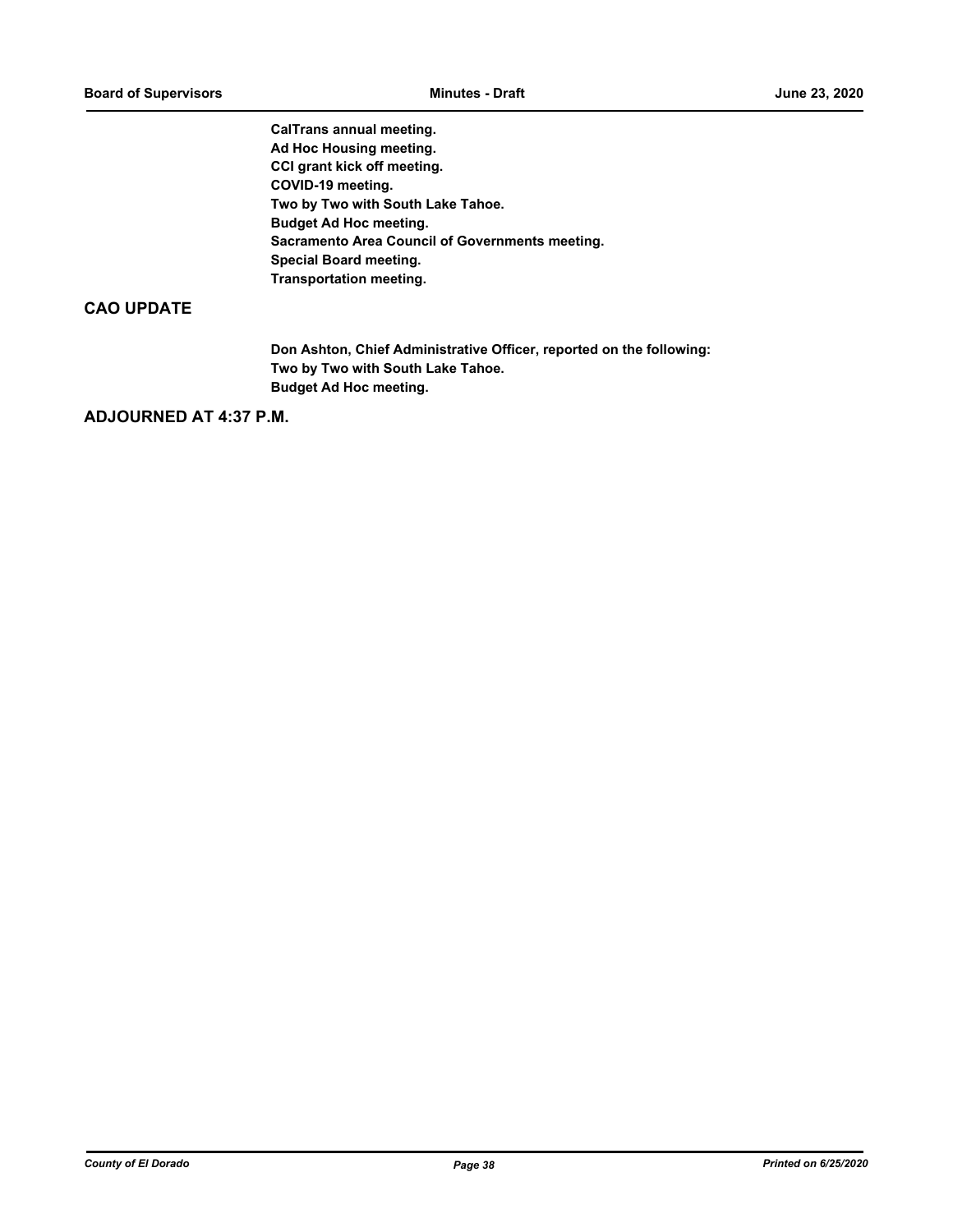**CalTrans annual meeting. Ad Hoc Housing meeting. CCI grant kick off meeting. COVID-19 meeting. Two by Two with South Lake Tahoe. Budget Ad Hoc meeting. Sacramento Area Council of Governments meeting. Special Board meeting. Transportation meeting.**

## **CAO UPDATE**

**Don Ashton, Chief Administrative Officer, reported on the following: Two by Two with South Lake Tahoe. Budget Ad Hoc meeting.**

## **ADJOURNED AT 4:37 P.M.**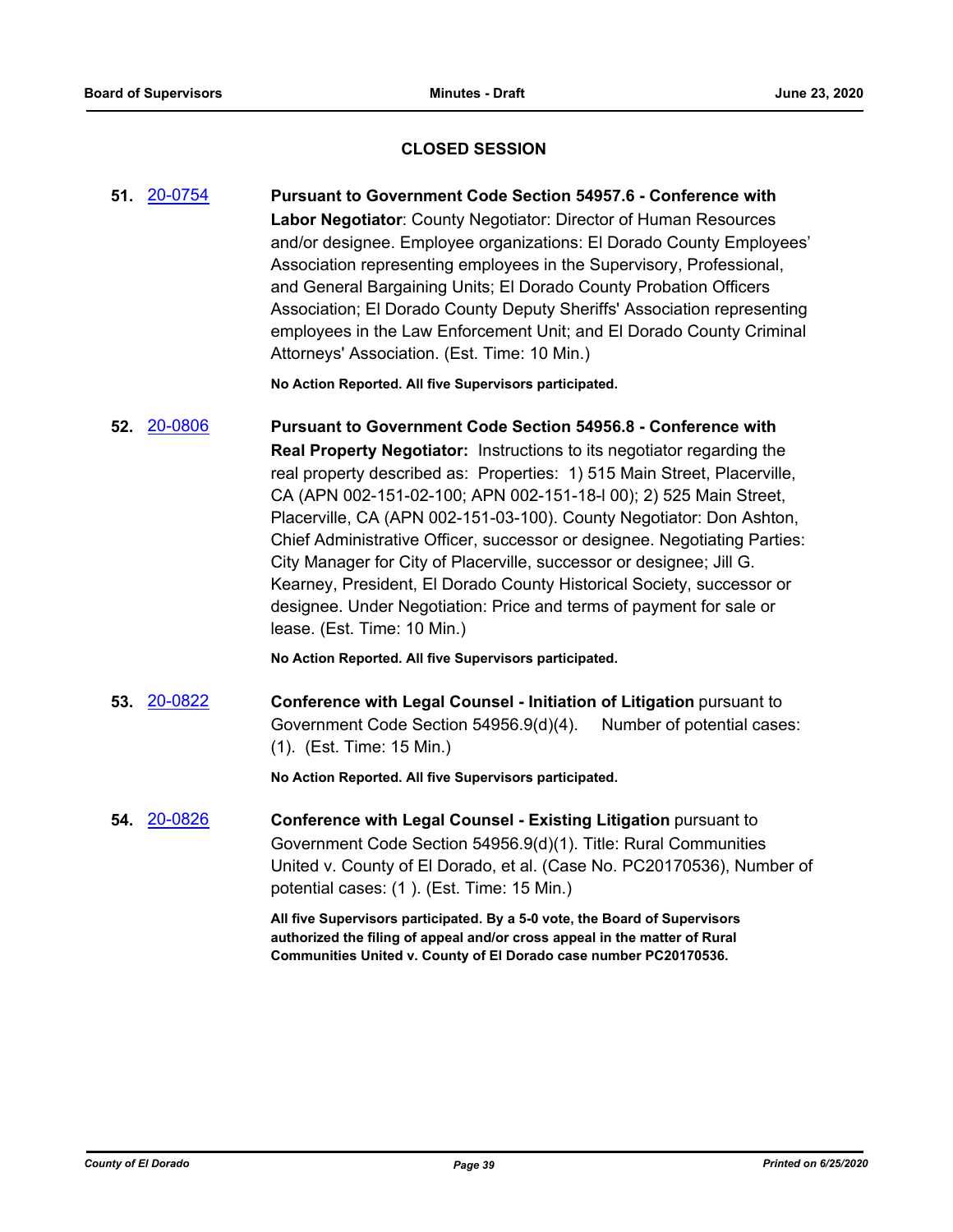## **CLOSED SESSION**

**51.** [20-0754](http://eldorado.legistar.com/gateway.aspx?m=l&id=/matter.aspx?key=27961) **Pursuant to Government Code Section 54957.6 - Conference with Labor Negotiator**: County Negotiator: Director of Human Resources and/or designee. Employee organizations: El Dorado County Employees' Association representing employees in the Supervisory, Professional, and General Bargaining Units; El Dorado County Probation Officers Association; El Dorado County Deputy Sheriffs' Association representing employees in the Law Enforcement Unit; and El Dorado County Criminal Attorneys' Association. (Est. Time: 10 Min.)

**No Action Reported. All five Supervisors participated.**

**52.** [20-0806](http://eldorado.legistar.com/gateway.aspx?m=l&id=/matter.aspx?key=28013) **Pursuant to Government Code Section 54956.8 - Conference with Real Property Negotiator:** Instructions to its negotiator regarding the real property described as: Properties: 1) 515 Main Street, Placerville, CA (APN 002-151-02-100; APN 002-151-18-l 00); 2) 525 Main Street, Placerville, CA (APN 002-151-03-100). County Negotiator: Don Ashton, Chief Administrative Officer, successor or designee. Negotiating Parties: City Manager for City of Placerville, successor or designee; Jill G. Kearney, President, El Dorado County Historical Society, successor or designee. Under Negotiation: Price and terms of payment for sale or lease. (Est. Time: 10 Min.)

**No Action Reported. All five Supervisors participated.**

**53.** [20-0822](http://eldorado.legistar.com/gateway.aspx?m=l&id=/matter.aspx?key=28029) **Conference with Legal Counsel - Initiation of Litigation** pursuant to Government Code Section 54956.9(d)(4). Number of potential cases: (1). (Est. Time: 15 Min.)

**No Action Reported. All five Supervisors participated.**

**54.** [20-0826](http://eldorado.legistar.com/gateway.aspx?m=l&id=/matter.aspx?key=28033) **Conference with Legal Counsel - Existing Litigation** pursuant to Government Code Section 54956.9(d)(1). Title: Rural Communities United v. County of El Dorado, et al. (Case No. PC20170536), Number of potential cases: (1 ). (Est. Time: 15 Min.)

> **All five Supervisors participated. By a 5-0 vote, the Board of Supervisors authorized the filing of appeal and/or cross appeal in the matter of Rural Communities United v. County of El Dorado case number PC20170536.**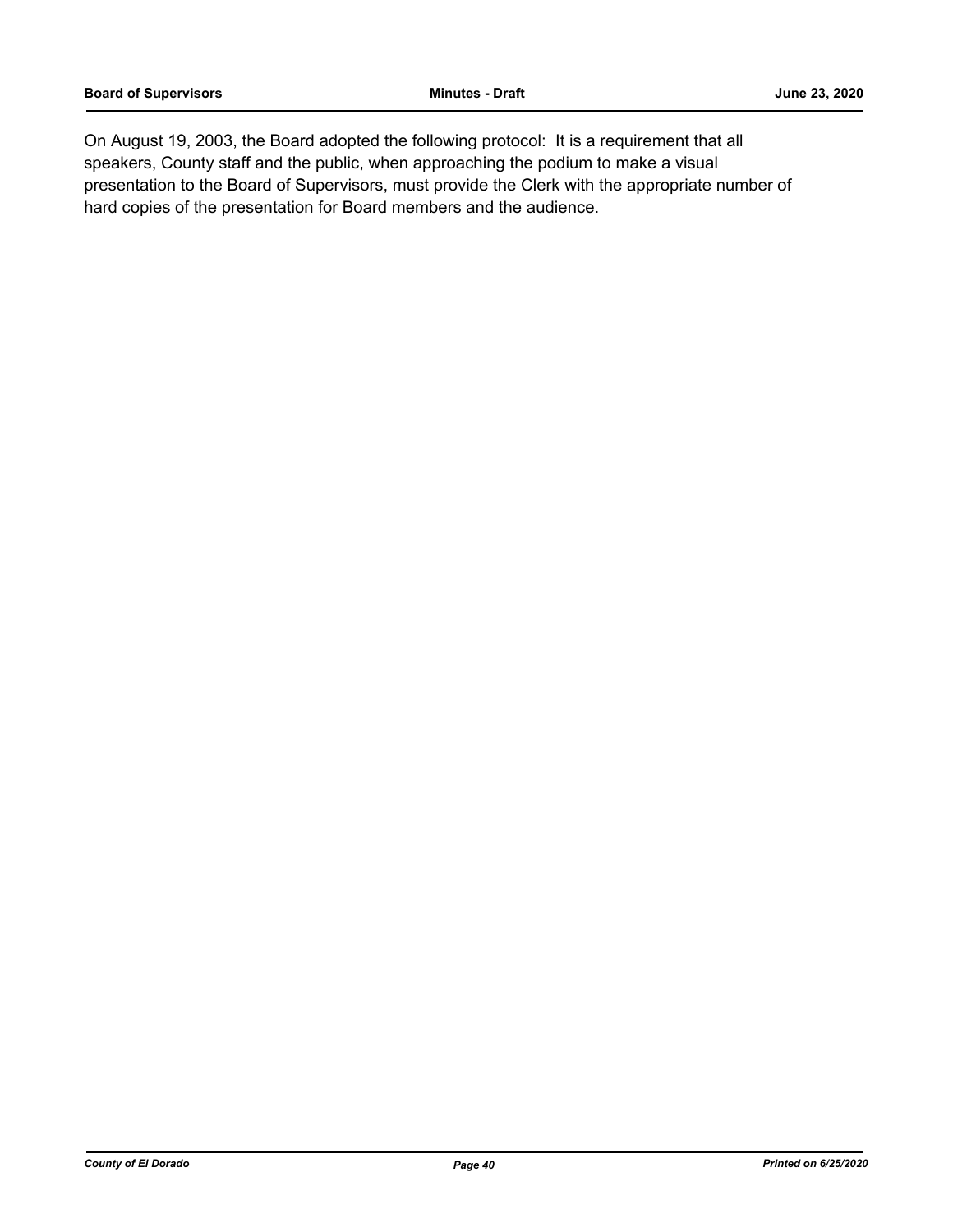On August 19, 2003, the Board adopted the following protocol: It is a requirement that all speakers, County staff and the public, when approaching the podium to make a visual presentation to the Board of Supervisors, must provide the Clerk with the appropriate number of hard copies of the presentation for Board members and the audience.